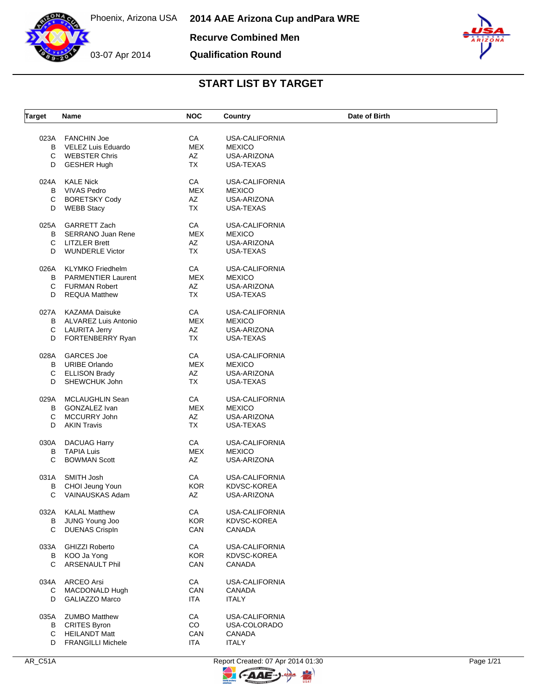**Recurve Combined Men**

**Qualification Round**



| <b>Target</b> | Name                                                                                    | <b>NOC</b>                          | Country                                                     | Date of Birth |
|---------------|-----------------------------------------------------------------------------------------|-------------------------------------|-------------------------------------------------------------|---------------|
| B<br>C        | 023A FANCHIN Joe<br>VELEZ Luis Eduardo<br><b>WEBSTER Chris</b>                          | CA<br><b>MEX</b><br>AZ              | <b>USA-CALIFORNIA</b><br><b>MEXICO</b><br>USA-ARIZONA       |               |
| D             | <b>GESHER Hugh</b>                                                                      | <b>TX</b>                           | USA-TEXAS                                                   |               |
| 024A          | KALE Nick                                                                               | CA                                  | USA-CALIFORNIA                                              |               |
| B             | <b>VIVAS Pedro</b>                                                                      | <b>MEX</b>                          | <b>MEXICO</b>                                               |               |
| С             | <b>BORETSKY Cody</b>                                                                    | AZ                                  | USA-ARIZONA                                                 |               |
| D             | <b>WEBB Stacy</b>                                                                       | <b>TX</b>                           | USA-TEXAS                                                   |               |
| 025A          | <b>GARRETT Zach</b>                                                                     | CA                                  | USA-CALIFORNIA                                              |               |
| В             | SERRANO Juan Rene                                                                       | <b>MEX</b>                          | <b>MEXICO</b>                                               |               |
| C             | <b>LITZLER Brett</b>                                                                    | AZ                                  | USA-ARIZONA                                                 |               |
| D             | <b>WUNDERLE Victor</b>                                                                  | <b>TX</b>                           | USA-TEXAS                                                   |               |
| 026A          | <b>KLYMKO</b> Friedhelm                                                                 | CA                                  | USA-CALIFORNIA                                              |               |
| B             | <b>PARMENTIER Laurent</b>                                                               | <b>MEX</b>                          | <b>MEXICO</b>                                               |               |
| C             | <b>FURMAN Robert</b>                                                                    | AZ                                  | USA-ARIZONA                                                 |               |
| D             | <b>REQUA Matthew</b>                                                                    | <b>TX</b>                           | USA-TEXAS                                                   |               |
| B<br>С<br>D   | 027A KAZAMA Daisuke<br><b>ALVAREZ Luis Antonio</b><br>LAURITA Jerry<br>FORTENBERRY Ryan | CA<br><b>MEX</b><br>AZ<br><b>TX</b> | USA-CALIFORNIA<br><b>MEXICO</b><br>USA-ARIZONA<br>USA-TEXAS |               |
| 028A          | <b>GARCES Joe</b>                                                                       | CA                                  | <b>USA-CALIFORNIA</b>                                       |               |
| В             | <b>URIBE Orlando</b>                                                                    | <b>MEX</b>                          | <b>MEXICO</b>                                               |               |
| C             | <b>ELLISON Brady</b>                                                                    | AZ                                  | USA-ARIZONA                                                 |               |
| D             | SHEWCHUK John                                                                           | <b>TX</b>                           | USA-TEXAS                                                   |               |
| 029A          | MCLAUGHLIN Sean                                                                         | CA                                  | <b>USA-CALIFORNIA</b>                                       |               |
| B             | GONZALEZ Ivan                                                                           | <b>MEX</b>                          | <b>MEXICO</b>                                               |               |
| С             | MCCURRY John                                                                            | AZ                                  | USA-ARIZONA                                                 |               |
| D             | <b>AKIN Travis</b>                                                                      | <b>TX</b>                           | USA-TEXAS                                                   |               |
| 030A          | <b>DACUAG Harry</b>                                                                     | CA                                  | <b>USA-CALIFORNIA</b>                                       |               |
| B             | <b>TAPIA Luis</b>                                                                       | <b>MEX</b>                          | <b>MEXICO</b>                                               |               |
| C             | <b>BOWMAN Scott</b>                                                                     | AZ                                  | USA-ARIZONA                                                 |               |
| 031A          | SMITH Josh                                                                              | CA                                  | <b>USA-CALIFORNIA</b>                                       |               |
| В             | CHOI Jeung Youn                                                                         | <b>KOR</b>                          | KDVSC-KOREA                                                 |               |
| C             | VAINAUSKAS Adam                                                                         | AZ                                  | USA-ARIZONA                                                 |               |
| В<br>C        | 032A KALAL Matthew<br>JUNG Young Joo<br><b>DUENAS CrispIn</b>                           | CA<br><b>KOR</b><br>CAN             | USA-CALIFORNIA<br>KDVSC-KOREA<br>CANADA                     |               |
| 033A          | <b>GHIZZI Roberto</b>                                                                   | CA                                  | USA-CALIFORNIA                                              |               |
| В             | KOO Ja Yong                                                                             | <b>KOR</b>                          | KDVSC-KOREA                                                 |               |
| C             | <b>ARSENAULT Phil</b>                                                                   | CAN                                 | CANADA                                                      |               |
| 034A          | <b>ARCEO Arsi</b>                                                                       | CA                                  | <b>USA-CALIFORNIA</b>                                       |               |
| C             | MACDONALD Hugh                                                                          | CAN                                 | CANADA                                                      |               |
| D             | GALIAZZO Marco                                                                          | ITA                                 | <b>ITALY</b>                                                |               |
| 035A          | <b>ZUMBO Matthew</b>                                                                    | CA                                  | USA-CALIFORNIA                                              |               |
| В             | <b>CRITES Byron</b>                                                                     | CO                                  | USA-COLORADO                                                |               |
| C             | <b>HEILANDT Matt</b>                                                                    | CAN                                 | CANADA                                                      |               |
| D             | <b>FRANGILLI Michele</b>                                                                | ITA                                 | <b>ITALY</b>                                                |               |

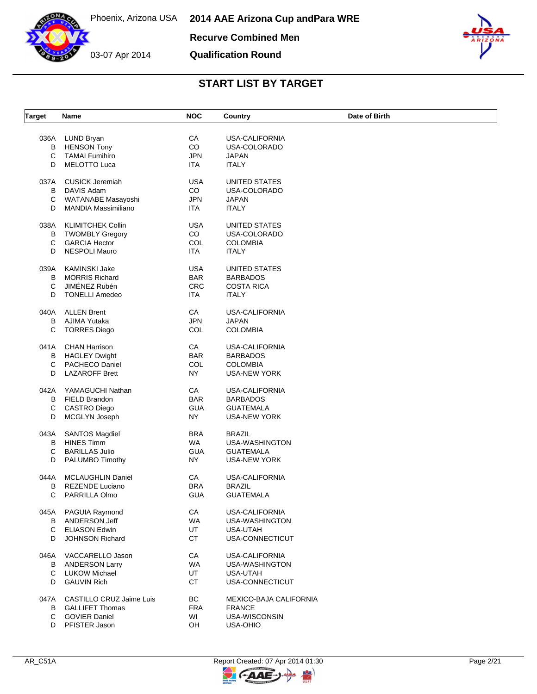

**Recurve Combined Men**

03-07 Apr 2014

### **Qualification Round**



| <b>Target</b> | Name                       | <b>NOC</b> | Country                       | Date of Birth |
|---------------|----------------------------|------------|-------------------------------|---------------|
|               |                            |            |                               |               |
| 036A          | LUND Bryan                 | СA         | <b>USA-CALIFORNIA</b>         |               |
| В             | <b>HENSON Tony</b>         | CO         | USA-COLORADO                  |               |
| С             | <b>TAMAI Fumihiro</b>      | <b>JPN</b> | <b>JAPAN</b>                  |               |
| D             | <b>MELOTTO Luca</b>        | <b>ITA</b> | <b>ITALY</b>                  |               |
| 037A          | <b>CUSICK Jeremiah</b>     | USA        | UNITED STATES                 |               |
| В             | DAVIS Adam                 | CO         | USA-COLORADO                  |               |
| С             | WATANABE Masayoshi         | <b>JPN</b> | <b>JAPAN</b>                  |               |
| D             | <b>MANDIA Massimiliano</b> | <b>ITA</b> | <b>ITALY</b>                  |               |
| 038A          | <b>KLIMITCHEK Collin</b>   | <b>USA</b> | UNITED STATES                 |               |
| в             | <b>TWOMBLY Gregory</b>     | CO         | USA-COLORADO                  |               |
| C             | <b>GARCIA Hector</b>       | COL        | <b>COLOMBIA</b>               |               |
| D             | <b>NESPOLI Mauro</b>       | <b>ITA</b> | <b>ITALY</b>                  |               |
| 039A          | <b>KAMINSKI Jake</b>       | <b>USA</b> | UNITED STATES                 |               |
| в             | <b>MORRIS Richard</b>      | <b>BAR</b> | <b>BARBADOS</b>               |               |
|               |                            |            |                               |               |
| С             | JIMÉNEZ Rubén              | <b>CRC</b> | <b>COSTA RICA</b>             |               |
| D             | <b>TONELLI Amedeo</b>      | <b>ITA</b> | <b>ITALY</b>                  |               |
| 040A          | <b>ALLEN Brent</b>         | CA         | <b>USA-CALIFORNIA</b>         |               |
| B             | AJIMA Yutaka               | <b>JPN</b> | <b>JAPAN</b>                  |               |
| С             | <b>TORRES Diego</b>        | COL        | <b>COLOMBIA</b>               |               |
| 041A          | <b>CHAN Harrison</b>       | CA         | USA-CALIFORNIA                |               |
| В             | <b>HAGLEY Dwight</b>       | <b>BAR</b> | <b>BARBADOS</b>               |               |
| C             | PACHECO Daniel             | COL        | <b>COLOMBIA</b>               |               |
| D             | <b>LAZAROFF Brett</b>      | NY         |                               |               |
|               |                            |            | <b>USA-NEW YORK</b>           |               |
| 042A          | YAMAGUCHI Nathan           | CA         | USA-CALIFORNIA                |               |
| В             | FIELD Brandon              | <b>BAR</b> | <b>BARBADOS</b>               |               |
| С             | <b>CASTRO Diego</b>        | <b>GUA</b> | <b>GUATEMALA</b>              |               |
| D             | MCGLYN Joseph              | NY.        | <b>USA-NEW YORK</b>           |               |
| 043A          | <b>SANTOS Magdiel</b>      | <b>BRA</b> | <b>BRAZIL</b>                 |               |
| В             | <b>HINES Timm</b>          | WA.        | USA-WASHINGTON                |               |
| С             | <b>BARILLAS Julio</b>      | <b>GUA</b> | <b>GUATEMALA</b>              |               |
| D             | PALUMBO Timothy            | <b>NY</b>  | <b>USA-NEW YORK</b>           |               |
|               |                            |            |                               |               |
| 044A          | <b>MCLAUGHLIN Daniel</b>   | CA         | <b>USA-CALIFORNIA</b>         |               |
| В             | <b>REZENDE Luciano</b>     | <b>BRA</b> | <b>BRAZIL</b>                 |               |
| С             | PARRILLA Olmo              | <b>GUA</b> | <b>GUATEMALA</b>              |               |
|               | 045A PAGUIA Raymond        | CA         | USA-CALIFORNIA                |               |
| В             | ANDERSON Jeff              | WA         | USA-WASHINGTON                |               |
| C             | <b>ELIASON Edwin</b>       | UT         | USA-UTAH                      |               |
| D             | JOHNSON Richard            | <b>CT</b>  | USA-CONNECTICUT               |               |
| 046A          | VACCARELLO Jason           | CA         | <b>USA-CALIFORNIA</b>         |               |
| В             | <b>ANDERSON Larry</b>      | WA         | USA-WASHINGTON                |               |
| C             | LUKOW Michael              | UT         | USA-UTAH                      |               |
| D             | <b>GAUVIN Rich</b>         | <b>CT</b>  | USA-CONNECTICUT               |               |
| 047A          | CASTILLO CRUZ Jaime Luis   | BC         | <b>MEXICO-BAJA CALIFORNIA</b> |               |
| В             | <b>GALLIFET Thomas</b>     | <b>FRA</b> | <b>FRANCE</b>                 |               |
| $\mathsf{C}$  | <b>GOVIER Daniel</b>       | WI         | USA-WISCONSIN                 |               |
|               |                            |            |                               |               |
|               | D PFISTER Jason            | OH         | USA-OHIO                      |               |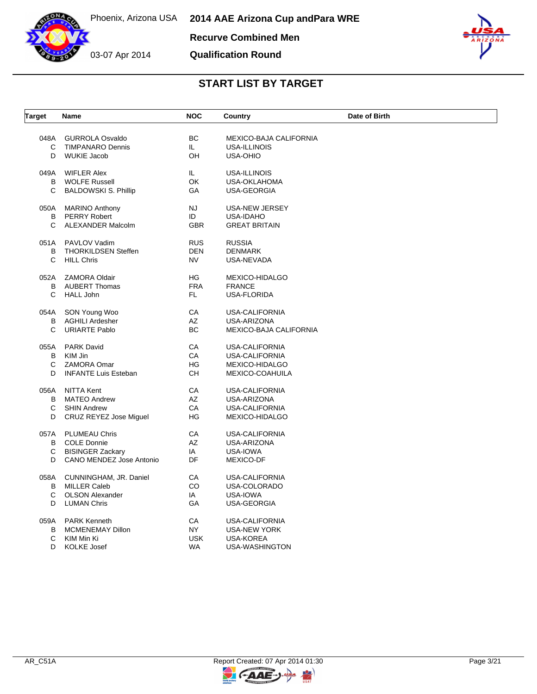

**Recurve Combined Men**

**Qualification Round**



| <b>Target</b> | Name                        | <b>NOC</b>               | Country                | Date of Birth |
|---------------|-----------------------------|--------------------------|------------------------|---------------|
| 048A          | <b>GURROLA Osvaldo</b>      | BC                       | MEXICO-BAJA CALIFORNIA |               |
| C             | <b>TIMPANARO Dennis</b>     | IL.                      | USA-ILLINOIS           |               |
| D             | <b>WUKIE Jacob</b>          | OH                       | <b>USA-OHIO</b>        |               |
|               |                             |                          |                        |               |
| 049A          | <b>WIFLER Alex</b>          | IL.                      | USA-ILLINOIS           |               |
| В             | <b>WOLFE Russell</b>        | OK                       | USA-OKLAHOMA           |               |
| C             | <b>BALDOWSKI S. Phillip</b> | GA                       | USA-GEORGIA            |               |
|               | 050A MARINO Anthony         | <b>NJ</b>                | USA-NEW JERSEY         |               |
| В             | <b>PERRY Robert</b>         | ID                       | USA-IDAHO              |               |
| C             | ALEXANDER Malcolm           | <b>GBR</b>               | <b>GREAT BRITAIN</b>   |               |
|               | 051A PAVLOV Vadim           |                          |                        |               |
| B             | <b>THORKILDSEN Steffen</b>  | <b>RUS</b><br><b>DEN</b> | <b>RUSSIA</b>          |               |
| C             |                             |                          | <b>DENMARK</b>         |               |
|               | <b>HILL Chris</b>           | <b>NV</b>                | USA-NEVADA             |               |
| 052A          | <b>ZAMORA Oldair</b>        | HG                       | MEXICO-HIDALGO         |               |
| B             | <b>AUBERT Thomas</b>        | <b>FRA</b>               | <b>FRANCE</b>          |               |
| $\mathsf{C}$  | <b>HALL John</b>            | FL.                      | USA-FLORIDA            |               |
| 054A          | SON Young Woo               | CA                       | USA-CALIFORNIA         |               |
| В             | <b>AGHILI Ardesher</b>      | AZ                       | USA-ARIZONA            |               |
| C             | <b>URIARTE Pablo</b>        | ВC                       | MEXICO-BAJA CALIFORNIA |               |
|               |                             |                          |                        |               |
| 055A          | <b>PARK David</b>           | CA                       | USA-CALIFORNIA         |               |
| B             | KIM Jin                     | CA                       | USA-CALIFORNIA         |               |
| C             | <b>ZAMORA Omar</b>          | <b>HG</b>                | MEXICO-HIDALGO         |               |
| D             | <b>INFANTE Luis Esteban</b> | <b>CH</b>                | MEXICO-COAHUILA        |               |
| 056A          | NITTA Kent                  | CA                       | USA-CALIFORNIA         |               |
| B             | <b>MATEO Andrew</b>         | AZ                       | USA-ARIZONA            |               |
| C             | <b>SHIN Andrew</b>          | CA                       | USA-CALIFORNIA         |               |
| D             | CRUZ REYEZ Jose Miguel      | HG                       | MEXICO-HIDALGO         |               |
| 057A          | <b>PLUMEAU Chris</b>        | CA                       | <b>USA-CALIFORNIA</b>  |               |
| В             | <b>COLE Donnie</b>          | AZ                       | USA-ARIZONA            |               |
| С             | <b>BISINGER Zackary</b>     | IA                       | USA-IOWA               |               |
| D             | CANO MENDEZ Jose Antonio    | DF                       | MEXICO-DF              |               |
| 058A          | CUNNINGHAM, JR. Daniel      | CA                       | USA-CALIFORNIA         |               |
| B             | <b>MILLER Caleb</b>         | CO                       | USA-COLORADO           |               |
| C             | <b>OLSON Alexander</b>      | IA                       | USA-IOWA               |               |
| D             | <b>LUMAN Chris</b>          | GA                       | USA-GEORGIA            |               |
|               |                             |                          |                        |               |
| 059A          | <b>PARK Kenneth</b>         | СA                       | USA-CALIFORNIA         |               |
| В             | MCMENEMAY Dillon            | NY.                      | <b>USA-NEW YORK</b>    |               |
| С             | KIM Min Ki                  | <b>USK</b>               | <b>USA-KOREA</b>       |               |
| D             | <b>KOLKE Josef</b>          | <b>WA</b>                | USA-WASHINGTON         |               |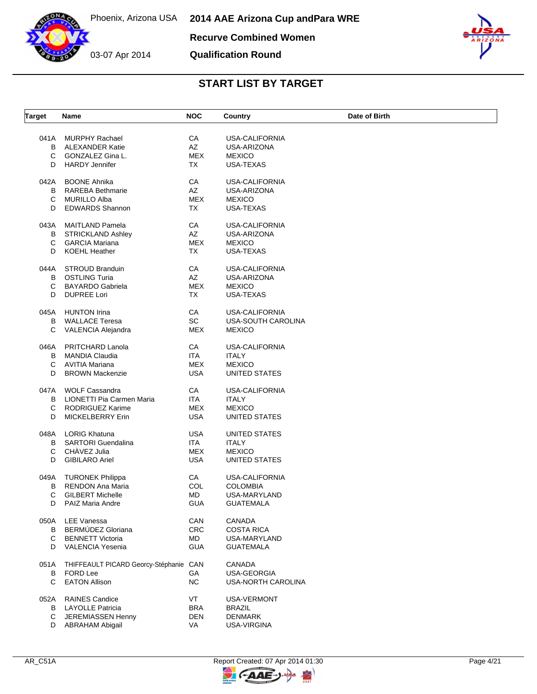



**Qualification Round**



| <b>Target</b> | Name                                   | <b>NOC</b> | Country               | Date of Birth |
|---------------|----------------------------------------|------------|-----------------------|---------------|
| 041A          | <b>MURPHY Rachael</b>                  | СA         | USA-CALIFORNIA        |               |
| B             | <b>ALEXANDER Katie</b>                 | AZ         | USA-ARIZONA           |               |
| C             | GONZALEZ Gina L.                       | <b>MEX</b> | <b>MEXICO</b>         |               |
| D             | <b>HARDY Jennifer</b>                  | TX         | <b>USA-TEXAS</b>      |               |
|               |                                        |            |                       |               |
| 042A          | <b>BOONE Ahnika</b>                    | СA         | USA-CALIFORNIA        |               |
| B             | <b>RAREBA Bethmarie</b>                | AZ         | USA-ARIZONA           |               |
| C             | <b>MURILLO Alba</b>                    | <b>MEX</b> | <b>MEXICO</b>         |               |
| D             | <b>EDWARDS Shannon</b>                 | <b>TX</b>  | USA-TEXAS             |               |
| 043A          | <b>MAITLAND Pamela</b>                 | CA         | <b>USA-CALIFORNIA</b> |               |
| В             | <b>STRICKLAND Ashley</b>               | AZ         | USA-ARIZONA           |               |
| C             | <b>GARCIA Mariana</b>                  | <b>MEX</b> | <b>MEXICO</b>         |               |
| D             | <b>KOEHL Heather</b>                   | TX         | USA-TEXAS             |               |
| 044A          | <b>STROUD Branduin</b>                 | CA         | <b>USA-CALIFORNIA</b> |               |
| B             | <b>OSTLING Turia</b>                   | AZ         | USA-ARIZONA           |               |
| C             | <b>BAYARDO Gabriela</b>                | <b>MEX</b> | <b>MEXICO</b>         |               |
| D             | <b>DUPREE Lori</b>                     | TX         | USA-TEXAS             |               |
| 045A          | <b>HUNTON Irina</b>                    | CA         | <b>USA-CALIFORNIA</b> |               |
| B             | <b>WALLACE Teresa</b>                  | SC         | USA-SOUTH CAROLINA    |               |
| C             | VALENCIA Alejandra                     | <b>MEX</b> | <b>MEXICO</b>         |               |
|               |                                        |            |                       |               |
| 046A          | <b>PRITCHARD Lanola</b>                | CA         | <b>USA-CALIFORNIA</b> |               |
| В             | <b>MANDIA Claudia</b>                  | <b>ITA</b> | <b>ITALY</b>          |               |
| C             | AVITIA Mariana                         | <b>MEX</b> | <b>MEXICO</b>         |               |
| D             | <b>BROWN Mackenzie</b>                 | <b>USA</b> | UNITED STATES         |               |
| 047A          | <b>WOLF Cassandra</b>                  | CA         | <b>USA-CALIFORNIA</b> |               |
| B             | LIONETTI Pia Carmen Maria              | <b>ITA</b> | <b>ITALY</b>          |               |
| С             | <b>RODRIGUEZ Karime</b>                | <b>MEX</b> | <b>MEXICO</b>         |               |
| D             | <b>MICKELBERRY Erin</b>                | <b>USA</b> | UNITED STATES         |               |
| 048A          | <b>LORIG Khatuna</b>                   | <b>USA</b> | UNITED STATES         |               |
| В             | <b>SARTORI</b> Guendalina              | ITA        | ITALY                 |               |
| С             | CHAVEZ Julia                           | MEX        | <b>MEXICO</b>         |               |
| D             | <b>GIBILARO Ariel</b>                  | <b>USA</b> | UNITED STATES         |               |
| 049A          | <b>TURONEK Philippa</b>                | CA         | <b>USA-CALIFORNIA</b> |               |
| В             | <b>RENDON Ana Maria</b>                | COL        | <b>COLOMBIA</b>       |               |
| C             | <b>GILBERT Michelle</b>                | MD         | USA-MARYLAND          |               |
| D             | PAIZ Maria Andre                       | GUA        | GUATEMALA             |               |
| 050A          | LEE Vanessa                            | CAN        | <b>CANADA</b>         |               |
| B             | BERMÚDEZ Gloriana                      | <b>CRC</b> | <b>COSTA RICA</b>     |               |
| C             | <b>BENNETT Victoria</b>                | MD         | USA-MARYLAND          |               |
| D             | <b>VALENCIA Yesenia</b>                | <b>GUA</b> | <b>GUATEMALA</b>      |               |
|               |                                        |            |                       |               |
| 051A          | THIFFEAULT PICARD Georcy-Stéphanie CAN |            | <b>CANADA</b>         |               |
| В             | <b>FORD Lee</b>                        | GA         | <b>USA-GEORGIA</b>    |               |
| C             | <b>EATON Allison</b>                   | <b>NC</b>  | USA-NORTH CAROLINA    |               |
| 052A          | <b>RAINES Candice</b>                  | VT         | USA-VERMONT           |               |
| В             | <b>LAYOLLE Patricia</b>                | <b>BRA</b> | <b>BRAZIL</b>         |               |
| C             | JEREMIASSEN Henny                      | <b>DEN</b> | <b>DENMARK</b>        |               |
| D             | <b>ABRAHAM Abigail</b>                 | VA         | USA-VIRGINA           |               |
|               |                                        |            |                       |               |

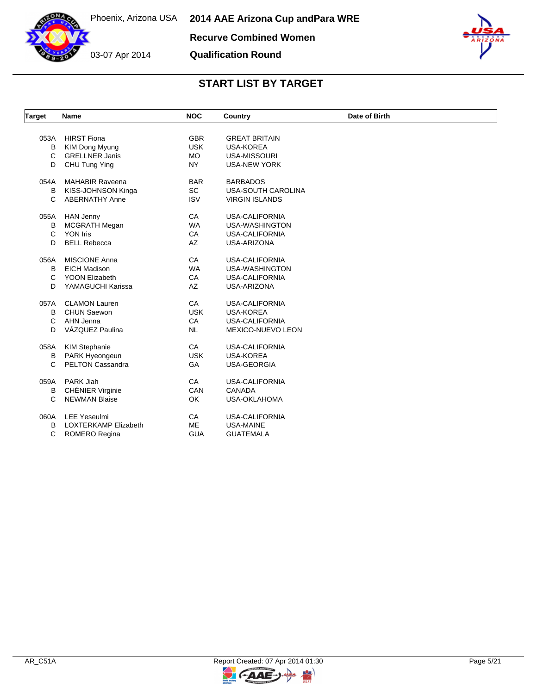

# **Qualification Round**



| <b>Target</b> | Name                        | <b>NOC</b> | Country                   | Date of Birth |  |
|---------------|-----------------------------|------------|---------------------------|---------------|--|
|               |                             |            |                           |               |  |
| 053A          | <b>HIRST Fiona</b>          | <b>GBR</b> | <b>GREAT BRITAIN</b>      |               |  |
| B             | KIM Dong Myung              | <b>USK</b> | <b>USA-KOREA</b>          |               |  |
| C             | <b>GRELLNER Janis</b>       | <b>MO</b>  | <b>USA-MISSOURI</b>       |               |  |
| D             | CHU Tung Ying               | <b>NY</b>  | <b>USA-NEW YORK</b>       |               |  |
| 054A          | <b>MAHABIR Raveena</b>      | <b>BAR</b> | <b>BARBADOS</b>           |               |  |
| В             | KISS-JOHNSON Kinga          | <b>SC</b>  | <b>USA-SOUTH CAROLINA</b> |               |  |
| C             | <b>ABERNATHY Anne</b>       | <b>ISV</b> | <b>VIRGIN ISLANDS</b>     |               |  |
| 055A          | <b>HAN Jenny</b>            | CA         | <b>USA-CALIFORNIA</b>     |               |  |
| в             | <b>MCGRATH Megan</b>        | <b>WA</b>  | USA-WASHINGTON            |               |  |
| C             | <b>YON Iris</b>             | CA         | <b>USA-CALIFORNIA</b>     |               |  |
| D             | <b>BELL Rebecca</b>         | AZ         | USA-ARIZONA               |               |  |
| 056A          | <b>MISCIONE Anna</b>        | CA         | <b>USA-CALIFORNIA</b>     |               |  |
| в             | <b>EICH Madison</b>         | <b>WA</b>  | USA-WASHINGTON            |               |  |
| C             | <b>YOON Elizabeth</b>       | CA         | <b>USA-CALIFORNIA</b>     |               |  |
| D             | YAMAGUCHI Karissa           | AZ         | USA-ARIZONA               |               |  |
| 057A          | <b>CLAMON Lauren</b>        | CA         | <b>USA-CALIFORNIA</b>     |               |  |
| B             | <b>CHUN Saewon</b>          | <b>USK</b> | <b>USA-KOREA</b>          |               |  |
| C             | AHN Jenna                   | CA         | <b>USA-CALIFORNIA</b>     |               |  |
| D             | VÁZQUEZ Paulina             | <b>NL</b>  | MEXICO-NUEVO LEON         |               |  |
| 058A          | <b>KIM Stephanie</b>        | CA         | <b>USA-CALIFORNIA</b>     |               |  |
| в             | PARK Hyeongeun              | <b>USK</b> | <b>USA-KOREA</b>          |               |  |
| C             | <b>PELTON Cassandra</b>     | GA         | <b>USA-GEORGIA</b>        |               |  |
|               |                             |            |                           |               |  |
| 059A          | PARK Jiah                   | CA         | <b>USA-CALIFORNIA</b>     |               |  |
| в             | <b>CHÉNIER Virginie</b>     | CAN        | <b>CANADA</b>             |               |  |
| C             | <b>NEWMAN Blaise</b>        | OK         | <b>USA-OKLAHOMA</b>       |               |  |
| 060A          | <b>LEE Yeseulmi</b>         | CA         | <b>USA-CALIFORNIA</b>     |               |  |
| в             | <b>LOXTERKAMP Elizabeth</b> | ME         | <b>USA-MAINE</b>          |               |  |
| C             | <b>ROMERO Regina</b>        | <b>GUA</b> | <b>GUATEMALA</b>          |               |  |

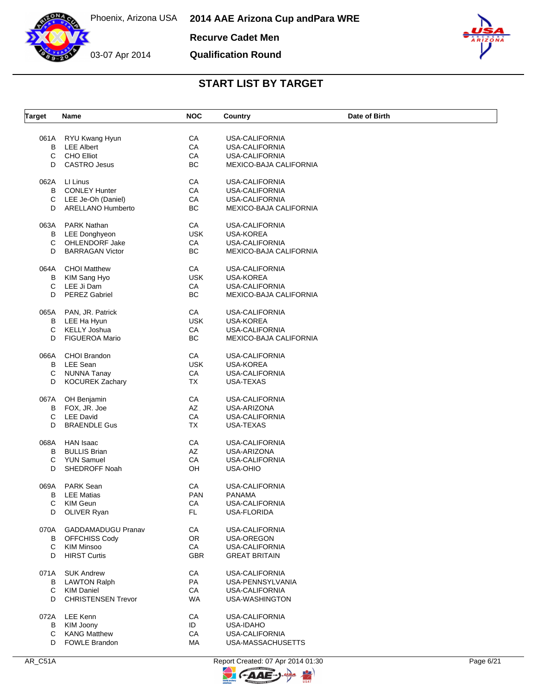



**Recurve Cadet Men**

**Qualification Round**



### **START LIST BY TARGET**

| RYU Kwang Hyun<br>СA<br>USA-CALIFORNIA<br>061A<br>CA<br><b>LEE Albert</b><br>USA-CALIFORNIA<br>в<br>C<br><b>CHO Elliot</b><br>CA<br><b>USA-CALIFORNIA</b><br>BC<br>D<br><b>CASTRO Jesus</b><br>MEXICO-BAJA CALIFORNIA<br>062A<br>LI Linus<br>CA<br>USA-CALIFORNIA<br>CA<br><b>CONLEY Hunter</b><br>USA-CALIFORNIA<br>В<br>CA<br>С<br>LEE Je-Oh (Daniel)<br>USA-CALIFORNIA<br>BC<br><b>ARELLANO Humberto</b><br>D<br>MEXICO-BAJA CALIFORNIA<br>CA<br>063A<br><b>PARK Nathan</b><br><b>USA-CALIFORNIA</b><br><b>USK</b><br><b>LEE Donghyeon</b><br>USA-KOREA<br>В<br>C<br>OHLENDORF Jake<br>CA<br><b>USA-CALIFORNIA</b><br>BC<br>D<br><b>BARRAGAN Victor</b><br>MEXICO-BAJA CALIFORNIA<br><b>CHOI Matthew</b><br>CA<br><b>USA-CALIFORNIA</b><br>064A<br><b>USK</b><br>KIM Sang Hyo<br>USA-KOREA<br>в<br>C<br>LEE Ji Dam<br>CA<br><b>USA-CALIFORNIA</b><br><b>PEREZ Gabriel</b><br>BC<br>D<br>MEXICO-BAJA CALIFORNIA<br>CA<br>065A PAN, JR. Patrick<br><b>USA-CALIFORNIA</b><br><b>USK</b><br><b>USA-KOREA</b><br>LEE Ha Hyun<br>В<br>C<br><b>KELLY Joshua</b><br>CA<br><b>USA-CALIFORNIA</b><br>BC<br><b>FIGUEROA Mario</b><br>D<br>MEXICO-BAJA CALIFORNIA<br>CA<br>066A<br><b>CHOI Brandon</b><br><b>USA-CALIFORNIA</b><br>LEE Sean<br><b>USK</b><br><b>USA-KOREA</b><br>B<br><b>NUNNA Tanay</b><br>CA<br>С<br>USA-CALIFORNIA<br><b>KOCUREK Zachary</b><br><b>TX</b><br>D<br>USA-TEXAS<br>CA<br>OH Benjamin<br>USA-CALIFORNIA<br>067A<br>FOX, JR. Joe<br>AZ<br>USA-ARIZONA<br>В<br><b>LEE David</b><br>С<br>CA<br>USA-CALIFORNIA<br><b>BRAENDLE Gus</b><br><b>TX</b><br>D<br>USA-TEXAS<br><b>HAN Isaac</b><br>CA<br><b>USA-CALIFORNIA</b><br>068A<br>AZ<br><b>BULLIS Brian</b><br>USA-ARIZONA<br>в<br>С<br><b>YUN Samuel</b><br>CA<br><b>USA-CALIFORNIA</b><br>SHEDROFF Noah<br>OH<br>D<br><b>USA-OHIO</b><br>CA<br>069A<br><b>PARK Sean</b><br><b>USA-CALIFORNIA</b><br><b>PAN</b><br>в<br><b>LEE Matias</b><br><b>PANAMA</b><br>С<br>KIM Geun<br>СA<br>USA-CALIFORNIA<br>FL.<br>D<br>OLIVER Ryan<br>USA-FLORIDA<br>CA<br>070A<br><b>GADDAMADUGU Pranav</b><br><b>USA-CALIFORNIA</b><br>OR<br>B<br><b>OFFCHISS Cody</b><br>USA-OREGON<br><b>KIM Minsoo</b><br>CA<br>С<br>USA-CALIFORNIA<br><b>HIRST Curtis</b><br><b>GBR</b><br>D<br><b>GREAT BRITAIN</b><br>071A<br><b>SUK Andrew</b><br>CA<br>USA-CALIFORNIA<br>PA<br><b>LAWTON Ralph</b><br>USA-PENNSYLVANIA<br>В<br>C<br>CA<br>KIM Daniel<br><b>USA-CALIFORNIA</b><br><b>CHRISTENSEN Trevor</b><br>D<br>WA<br>USA-WASHINGTON<br><b>LEE Kenn</b><br><b>USA-CALIFORNIA</b><br>072A<br>CA<br>KIM Joony<br>ID<br>USA-IDAHO<br>В<br><b>KANG Matthew</b><br>CA<br>C<br><b>USA-CALIFORNIA</b><br>D | Target | Name                 | <b>NOC</b> | Country           | Date of Birth |
|-------------------------------------------------------------------------------------------------------------------------------------------------------------------------------------------------------------------------------------------------------------------------------------------------------------------------------------------------------------------------------------------------------------------------------------------------------------------------------------------------------------------------------------------------------------------------------------------------------------------------------------------------------------------------------------------------------------------------------------------------------------------------------------------------------------------------------------------------------------------------------------------------------------------------------------------------------------------------------------------------------------------------------------------------------------------------------------------------------------------------------------------------------------------------------------------------------------------------------------------------------------------------------------------------------------------------------------------------------------------------------------------------------------------------------------------------------------------------------------------------------------------------------------------------------------------------------------------------------------------------------------------------------------------------------------------------------------------------------------------------------------------------------------------------------------------------------------------------------------------------------------------------------------------------------------------------------------------------------------------------------------------------------------------------------------------------------------------------------------------------------------------------------------------------------------------------------------------------------------------------------------------------------------------------------------------------------------------------------------------------------------------------------------------------------------------------------------------------------------------------------------------------------------------------------------------------------------------------------------------------------------------------|--------|----------------------|------------|-------------------|---------------|
|                                                                                                                                                                                                                                                                                                                                                                                                                                                                                                                                                                                                                                                                                                                                                                                                                                                                                                                                                                                                                                                                                                                                                                                                                                                                                                                                                                                                                                                                                                                                                                                                                                                                                                                                                                                                                                                                                                                                                                                                                                                                                                                                                                                                                                                                                                                                                                                                                                                                                                                                                                                                                                                 |        |                      |            |                   |               |
|                                                                                                                                                                                                                                                                                                                                                                                                                                                                                                                                                                                                                                                                                                                                                                                                                                                                                                                                                                                                                                                                                                                                                                                                                                                                                                                                                                                                                                                                                                                                                                                                                                                                                                                                                                                                                                                                                                                                                                                                                                                                                                                                                                                                                                                                                                                                                                                                                                                                                                                                                                                                                                                 |        |                      |            |                   |               |
|                                                                                                                                                                                                                                                                                                                                                                                                                                                                                                                                                                                                                                                                                                                                                                                                                                                                                                                                                                                                                                                                                                                                                                                                                                                                                                                                                                                                                                                                                                                                                                                                                                                                                                                                                                                                                                                                                                                                                                                                                                                                                                                                                                                                                                                                                                                                                                                                                                                                                                                                                                                                                                                 |        |                      |            |                   |               |
|                                                                                                                                                                                                                                                                                                                                                                                                                                                                                                                                                                                                                                                                                                                                                                                                                                                                                                                                                                                                                                                                                                                                                                                                                                                                                                                                                                                                                                                                                                                                                                                                                                                                                                                                                                                                                                                                                                                                                                                                                                                                                                                                                                                                                                                                                                                                                                                                                                                                                                                                                                                                                                                 |        |                      |            |                   |               |
|                                                                                                                                                                                                                                                                                                                                                                                                                                                                                                                                                                                                                                                                                                                                                                                                                                                                                                                                                                                                                                                                                                                                                                                                                                                                                                                                                                                                                                                                                                                                                                                                                                                                                                                                                                                                                                                                                                                                                                                                                                                                                                                                                                                                                                                                                                                                                                                                                                                                                                                                                                                                                                                 |        |                      |            |                   |               |
|                                                                                                                                                                                                                                                                                                                                                                                                                                                                                                                                                                                                                                                                                                                                                                                                                                                                                                                                                                                                                                                                                                                                                                                                                                                                                                                                                                                                                                                                                                                                                                                                                                                                                                                                                                                                                                                                                                                                                                                                                                                                                                                                                                                                                                                                                                                                                                                                                                                                                                                                                                                                                                                 |        |                      |            |                   |               |
|                                                                                                                                                                                                                                                                                                                                                                                                                                                                                                                                                                                                                                                                                                                                                                                                                                                                                                                                                                                                                                                                                                                                                                                                                                                                                                                                                                                                                                                                                                                                                                                                                                                                                                                                                                                                                                                                                                                                                                                                                                                                                                                                                                                                                                                                                                                                                                                                                                                                                                                                                                                                                                                 |        |                      |            |                   |               |
|                                                                                                                                                                                                                                                                                                                                                                                                                                                                                                                                                                                                                                                                                                                                                                                                                                                                                                                                                                                                                                                                                                                                                                                                                                                                                                                                                                                                                                                                                                                                                                                                                                                                                                                                                                                                                                                                                                                                                                                                                                                                                                                                                                                                                                                                                                                                                                                                                                                                                                                                                                                                                                                 |        |                      |            |                   |               |
|                                                                                                                                                                                                                                                                                                                                                                                                                                                                                                                                                                                                                                                                                                                                                                                                                                                                                                                                                                                                                                                                                                                                                                                                                                                                                                                                                                                                                                                                                                                                                                                                                                                                                                                                                                                                                                                                                                                                                                                                                                                                                                                                                                                                                                                                                                                                                                                                                                                                                                                                                                                                                                                 |        |                      |            |                   |               |
|                                                                                                                                                                                                                                                                                                                                                                                                                                                                                                                                                                                                                                                                                                                                                                                                                                                                                                                                                                                                                                                                                                                                                                                                                                                                                                                                                                                                                                                                                                                                                                                                                                                                                                                                                                                                                                                                                                                                                                                                                                                                                                                                                                                                                                                                                                                                                                                                                                                                                                                                                                                                                                                 |        |                      |            |                   |               |
|                                                                                                                                                                                                                                                                                                                                                                                                                                                                                                                                                                                                                                                                                                                                                                                                                                                                                                                                                                                                                                                                                                                                                                                                                                                                                                                                                                                                                                                                                                                                                                                                                                                                                                                                                                                                                                                                                                                                                                                                                                                                                                                                                                                                                                                                                                                                                                                                                                                                                                                                                                                                                                                 |        |                      |            |                   |               |
|                                                                                                                                                                                                                                                                                                                                                                                                                                                                                                                                                                                                                                                                                                                                                                                                                                                                                                                                                                                                                                                                                                                                                                                                                                                                                                                                                                                                                                                                                                                                                                                                                                                                                                                                                                                                                                                                                                                                                                                                                                                                                                                                                                                                                                                                                                                                                                                                                                                                                                                                                                                                                                                 |        |                      |            |                   |               |
|                                                                                                                                                                                                                                                                                                                                                                                                                                                                                                                                                                                                                                                                                                                                                                                                                                                                                                                                                                                                                                                                                                                                                                                                                                                                                                                                                                                                                                                                                                                                                                                                                                                                                                                                                                                                                                                                                                                                                                                                                                                                                                                                                                                                                                                                                                                                                                                                                                                                                                                                                                                                                                                 |        |                      |            |                   |               |
|                                                                                                                                                                                                                                                                                                                                                                                                                                                                                                                                                                                                                                                                                                                                                                                                                                                                                                                                                                                                                                                                                                                                                                                                                                                                                                                                                                                                                                                                                                                                                                                                                                                                                                                                                                                                                                                                                                                                                                                                                                                                                                                                                                                                                                                                                                                                                                                                                                                                                                                                                                                                                                                 |        |                      |            |                   |               |
|                                                                                                                                                                                                                                                                                                                                                                                                                                                                                                                                                                                                                                                                                                                                                                                                                                                                                                                                                                                                                                                                                                                                                                                                                                                                                                                                                                                                                                                                                                                                                                                                                                                                                                                                                                                                                                                                                                                                                                                                                                                                                                                                                                                                                                                                                                                                                                                                                                                                                                                                                                                                                                                 |        |                      |            |                   |               |
|                                                                                                                                                                                                                                                                                                                                                                                                                                                                                                                                                                                                                                                                                                                                                                                                                                                                                                                                                                                                                                                                                                                                                                                                                                                                                                                                                                                                                                                                                                                                                                                                                                                                                                                                                                                                                                                                                                                                                                                                                                                                                                                                                                                                                                                                                                                                                                                                                                                                                                                                                                                                                                                 |        |                      |            |                   |               |
|                                                                                                                                                                                                                                                                                                                                                                                                                                                                                                                                                                                                                                                                                                                                                                                                                                                                                                                                                                                                                                                                                                                                                                                                                                                                                                                                                                                                                                                                                                                                                                                                                                                                                                                                                                                                                                                                                                                                                                                                                                                                                                                                                                                                                                                                                                                                                                                                                                                                                                                                                                                                                                                 |        |                      |            |                   |               |
|                                                                                                                                                                                                                                                                                                                                                                                                                                                                                                                                                                                                                                                                                                                                                                                                                                                                                                                                                                                                                                                                                                                                                                                                                                                                                                                                                                                                                                                                                                                                                                                                                                                                                                                                                                                                                                                                                                                                                                                                                                                                                                                                                                                                                                                                                                                                                                                                                                                                                                                                                                                                                                                 |        |                      |            |                   |               |
|                                                                                                                                                                                                                                                                                                                                                                                                                                                                                                                                                                                                                                                                                                                                                                                                                                                                                                                                                                                                                                                                                                                                                                                                                                                                                                                                                                                                                                                                                                                                                                                                                                                                                                                                                                                                                                                                                                                                                                                                                                                                                                                                                                                                                                                                                                                                                                                                                                                                                                                                                                                                                                                 |        |                      |            |                   |               |
|                                                                                                                                                                                                                                                                                                                                                                                                                                                                                                                                                                                                                                                                                                                                                                                                                                                                                                                                                                                                                                                                                                                                                                                                                                                                                                                                                                                                                                                                                                                                                                                                                                                                                                                                                                                                                                                                                                                                                                                                                                                                                                                                                                                                                                                                                                                                                                                                                                                                                                                                                                                                                                                 |        |                      |            |                   |               |
|                                                                                                                                                                                                                                                                                                                                                                                                                                                                                                                                                                                                                                                                                                                                                                                                                                                                                                                                                                                                                                                                                                                                                                                                                                                                                                                                                                                                                                                                                                                                                                                                                                                                                                                                                                                                                                                                                                                                                                                                                                                                                                                                                                                                                                                                                                                                                                                                                                                                                                                                                                                                                                                 |        |                      |            |                   |               |
|                                                                                                                                                                                                                                                                                                                                                                                                                                                                                                                                                                                                                                                                                                                                                                                                                                                                                                                                                                                                                                                                                                                                                                                                                                                                                                                                                                                                                                                                                                                                                                                                                                                                                                                                                                                                                                                                                                                                                                                                                                                                                                                                                                                                                                                                                                                                                                                                                                                                                                                                                                                                                                                 |        |                      |            |                   |               |
|                                                                                                                                                                                                                                                                                                                                                                                                                                                                                                                                                                                                                                                                                                                                                                                                                                                                                                                                                                                                                                                                                                                                                                                                                                                                                                                                                                                                                                                                                                                                                                                                                                                                                                                                                                                                                                                                                                                                                                                                                                                                                                                                                                                                                                                                                                                                                                                                                                                                                                                                                                                                                                                 |        |                      |            |                   |               |
|                                                                                                                                                                                                                                                                                                                                                                                                                                                                                                                                                                                                                                                                                                                                                                                                                                                                                                                                                                                                                                                                                                                                                                                                                                                                                                                                                                                                                                                                                                                                                                                                                                                                                                                                                                                                                                                                                                                                                                                                                                                                                                                                                                                                                                                                                                                                                                                                                                                                                                                                                                                                                                                 |        |                      |            |                   |               |
|                                                                                                                                                                                                                                                                                                                                                                                                                                                                                                                                                                                                                                                                                                                                                                                                                                                                                                                                                                                                                                                                                                                                                                                                                                                                                                                                                                                                                                                                                                                                                                                                                                                                                                                                                                                                                                                                                                                                                                                                                                                                                                                                                                                                                                                                                                                                                                                                                                                                                                                                                                                                                                                 |        |                      |            |                   |               |
|                                                                                                                                                                                                                                                                                                                                                                                                                                                                                                                                                                                                                                                                                                                                                                                                                                                                                                                                                                                                                                                                                                                                                                                                                                                                                                                                                                                                                                                                                                                                                                                                                                                                                                                                                                                                                                                                                                                                                                                                                                                                                                                                                                                                                                                                                                                                                                                                                                                                                                                                                                                                                                                 |        |                      |            |                   |               |
|                                                                                                                                                                                                                                                                                                                                                                                                                                                                                                                                                                                                                                                                                                                                                                                                                                                                                                                                                                                                                                                                                                                                                                                                                                                                                                                                                                                                                                                                                                                                                                                                                                                                                                                                                                                                                                                                                                                                                                                                                                                                                                                                                                                                                                                                                                                                                                                                                                                                                                                                                                                                                                                 |        |                      |            |                   |               |
|                                                                                                                                                                                                                                                                                                                                                                                                                                                                                                                                                                                                                                                                                                                                                                                                                                                                                                                                                                                                                                                                                                                                                                                                                                                                                                                                                                                                                                                                                                                                                                                                                                                                                                                                                                                                                                                                                                                                                                                                                                                                                                                                                                                                                                                                                                                                                                                                                                                                                                                                                                                                                                                 |        |                      |            |                   |               |
|                                                                                                                                                                                                                                                                                                                                                                                                                                                                                                                                                                                                                                                                                                                                                                                                                                                                                                                                                                                                                                                                                                                                                                                                                                                                                                                                                                                                                                                                                                                                                                                                                                                                                                                                                                                                                                                                                                                                                                                                                                                                                                                                                                                                                                                                                                                                                                                                                                                                                                                                                                                                                                                 |        |                      |            |                   |               |
|                                                                                                                                                                                                                                                                                                                                                                                                                                                                                                                                                                                                                                                                                                                                                                                                                                                                                                                                                                                                                                                                                                                                                                                                                                                                                                                                                                                                                                                                                                                                                                                                                                                                                                                                                                                                                                                                                                                                                                                                                                                                                                                                                                                                                                                                                                                                                                                                                                                                                                                                                                                                                                                 |        |                      |            |                   |               |
|                                                                                                                                                                                                                                                                                                                                                                                                                                                                                                                                                                                                                                                                                                                                                                                                                                                                                                                                                                                                                                                                                                                                                                                                                                                                                                                                                                                                                                                                                                                                                                                                                                                                                                                                                                                                                                                                                                                                                                                                                                                                                                                                                                                                                                                                                                                                                                                                                                                                                                                                                                                                                                                 |        |                      |            |                   |               |
|                                                                                                                                                                                                                                                                                                                                                                                                                                                                                                                                                                                                                                                                                                                                                                                                                                                                                                                                                                                                                                                                                                                                                                                                                                                                                                                                                                                                                                                                                                                                                                                                                                                                                                                                                                                                                                                                                                                                                                                                                                                                                                                                                                                                                                                                                                                                                                                                                                                                                                                                                                                                                                                 |        |                      |            |                   |               |
|                                                                                                                                                                                                                                                                                                                                                                                                                                                                                                                                                                                                                                                                                                                                                                                                                                                                                                                                                                                                                                                                                                                                                                                                                                                                                                                                                                                                                                                                                                                                                                                                                                                                                                                                                                                                                                                                                                                                                                                                                                                                                                                                                                                                                                                                                                                                                                                                                                                                                                                                                                                                                                                 |        |                      |            |                   |               |
|                                                                                                                                                                                                                                                                                                                                                                                                                                                                                                                                                                                                                                                                                                                                                                                                                                                                                                                                                                                                                                                                                                                                                                                                                                                                                                                                                                                                                                                                                                                                                                                                                                                                                                                                                                                                                                                                                                                                                                                                                                                                                                                                                                                                                                                                                                                                                                                                                                                                                                                                                                                                                                                 |        |                      |            |                   |               |
|                                                                                                                                                                                                                                                                                                                                                                                                                                                                                                                                                                                                                                                                                                                                                                                                                                                                                                                                                                                                                                                                                                                                                                                                                                                                                                                                                                                                                                                                                                                                                                                                                                                                                                                                                                                                                                                                                                                                                                                                                                                                                                                                                                                                                                                                                                                                                                                                                                                                                                                                                                                                                                                 |        |                      |            |                   |               |
|                                                                                                                                                                                                                                                                                                                                                                                                                                                                                                                                                                                                                                                                                                                                                                                                                                                                                                                                                                                                                                                                                                                                                                                                                                                                                                                                                                                                                                                                                                                                                                                                                                                                                                                                                                                                                                                                                                                                                                                                                                                                                                                                                                                                                                                                                                                                                                                                                                                                                                                                                                                                                                                 |        |                      |            |                   |               |
|                                                                                                                                                                                                                                                                                                                                                                                                                                                                                                                                                                                                                                                                                                                                                                                                                                                                                                                                                                                                                                                                                                                                                                                                                                                                                                                                                                                                                                                                                                                                                                                                                                                                                                                                                                                                                                                                                                                                                                                                                                                                                                                                                                                                                                                                                                                                                                                                                                                                                                                                                                                                                                                 |        |                      |            |                   |               |
|                                                                                                                                                                                                                                                                                                                                                                                                                                                                                                                                                                                                                                                                                                                                                                                                                                                                                                                                                                                                                                                                                                                                                                                                                                                                                                                                                                                                                                                                                                                                                                                                                                                                                                                                                                                                                                                                                                                                                                                                                                                                                                                                                                                                                                                                                                                                                                                                                                                                                                                                                                                                                                                 |        |                      |            |                   |               |
|                                                                                                                                                                                                                                                                                                                                                                                                                                                                                                                                                                                                                                                                                                                                                                                                                                                                                                                                                                                                                                                                                                                                                                                                                                                                                                                                                                                                                                                                                                                                                                                                                                                                                                                                                                                                                                                                                                                                                                                                                                                                                                                                                                                                                                                                                                                                                                                                                                                                                                                                                                                                                                                 |        |                      |            |                   |               |
|                                                                                                                                                                                                                                                                                                                                                                                                                                                                                                                                                                                                                                                                                                                                                                                                                                                                                                                                                                                                                                                                                                                                                                                                                                                                                                                                                                                                                                                                                                                                                                                                                                                                                                                                                                                                                                                                                                                                                                                                                                                                                                                                                                                                                                                                                                                                                                                                                                                                                                                                                                                                                                                 |        |                      |            |                   |               |
|                                                                                                                                                                                                                                                                                                                                                                                                                                                                                                                                                                                                                                                                                                                                                                                                                                                                                                                                                                                                                                                                                                                                                                                                                                                                                                                                                                                                                                                                                                                                                                                                                                                                                                                                                                                                                                                                                                                                                                                                                                                                                                                                                                                                                                                                                                                                                                                                                                                                                                                                                                                                                                                 |        |                      |            |                   |               |
|                                                                                                                                                                                                                                                                                                                                                                                                                                                                                                                                                                                                                                                                                                                                                                                                                                                                                                                                                                                                                                                                                                                                                                                                                                                                                                                                                                                                                                                                                                                                                                                                                                                                                                                                                                                                                                                                                                                                                                                                                                                                                                                                                                                                                                                                                                                                                                                                                                                                                                                                                                                                                                                 |        |                      |            |                   |               |
|                                                                                                                                                                                                                                                                                                                                                                                                                                                                                                                                                                                                                                                                                                                                                                                                                                                                                                                                                                                                                                                                                                                                                                                                                                                                                                                                                                                                                                                                                                                                                                                                                                                                                                                                                                                                                                                                                                                                                                                                                                                                                                                                                                                                                                                                                                                                                                                                                                                                                                                                                                                                                                                 |        |                      |            |                   |               |
|                                                                                                                                                                                                                                                                                                                                                                                                                                                                                                                                                                                                                                                                                                                                                                                                                                                                                                                                                                                                                                                                                                                                                                                                                                                                                                                                                                                                                                                                                                                                                                                                                                                                                                                                                                                                                                                                                                                                                                                                                                                                                                                                                                                                                                                                                                                                                                                                                                                                                                                                                                                                                                                 |        |                      |            |                   |               |
|                                                                                                                                                                                                                                                                                                                                                                                                                                                                                                                                                                                                                                                                                                                                                                                                                                                                                                                                                                                                                                                                                                                                                                                                                                                                                                                                                                                                                                                                                                                                                                                                                                                                                                                                                                                                                                                                                                                                                                                                                                                                                                                                                                                                                                                                                                                                                                                                                                                                                                                                                                                                                                                 |        |                      |            |                   |               |
|                                                                                                                                                                                                                                                                                                                                                                                                                                                                                                                                                                                                                                                                                                                                                                                                                                                                                                                                                                                                                                                                                                                                                                                                                                                                                                                                                                                                                                                                                                                                                                                                                                                                                                                                                                                                                                                                                                                                                                                                                                                                                                                                                                                                                                                                                                                                                                                                                                                                                                                                                                                                                                                 |        |                      |            |                   |               |
|                                                                                                                                                                                                                                                                                                                                                                                                                                                                                                                                                                                                                                                                                                                                                                                                                                                                                                                                                                                                                                                                                                                                                                                                                                                                                                                                                                                                                                                                                                                                                                                                                                                                                                                                                                                                                                                                                                                                                                                                                                                                                                                                                                                                                                                                                                                                                                                                                                                                                                                                                                                                                                                 |        |                      |            |                   |               |
|                                                                                                                                                                                                                                                                                                                                                                                                                                                                                                                                                                                                                                                                                                                                                                                                                                                                                                                                                                                                                                                                                                                                                                                                                                                                                                                                                                                                                                                                                                                                                                                                                                                                                                                                                                                                                                                                                                                                                                                                                                                                                                                                                                                                                                                                                                                                                                                                                                                                                                                                                                                                                                                 |        |                      |            |                   |               |
|                                                                                                                                                                                                                                                                                                                                                                                                                                                                                                                                                                                                                                                                                                                                                                                                                                                                                                                                                                                                                                                                                                                                                                                                                                                                                                                                                                                                                                                                                                                                                                                                                                                                                                                                                                                                                                                                                                                                                                                                                                                                                                                                                                                                                                                                                                                                                                                                                                                                                                                                                                                                                                                 |        | <b>FOWLE Brandon</b> | МA         | USA-MASSACHUSETTS |               |



 $\mathbb{F}$ 

 $FAAE$ 

 $\Theta$ 

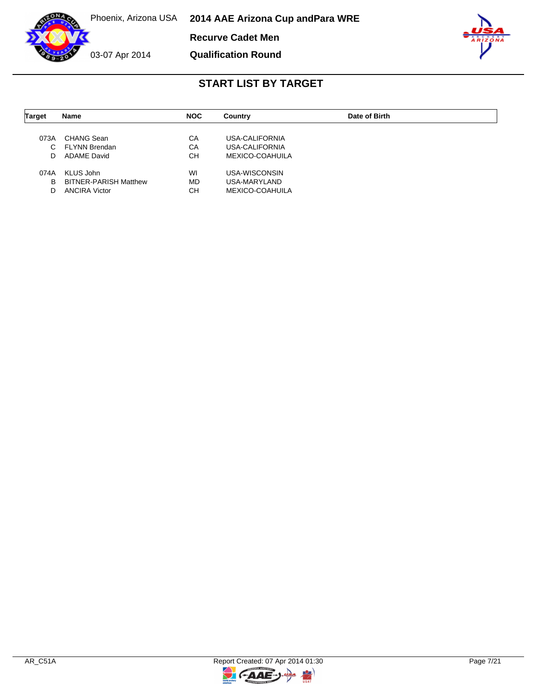

**Recurve Cadet Men**

03-07 Apr 2014

### **Qualification Round**



| <b>Target</b> | <b>Name</b>                  | <b>NOC</b> | Country         | Date of Birth |  |
|---------------|------------------------------|------------|-----------------|---------------|--|
|               |                              |            |                 |               |  |
| 073A          | CHANG Sean                   | СA         | USA-CALIFORNIA  |               |  |
| C.            | <b>FLYNN Brendan</b>         | CA         | USA-CALIFORNIA  |               |  |
| D             | <b>ADAME David</b>           | СH         | MEXICO-COAHUILA |               |  |
| 074A          | KLUS John                    | WI         | USA-WISCONSIN   |               |  |
| в             | <b>BITNER-PARISH Matthew</b> | <b>MD</b>  | USA-MARYLAND    |               |  |
| D             | <b>ANCIRA Victor</b>         | CН         | MEXICO-COAHUILA |               |  |

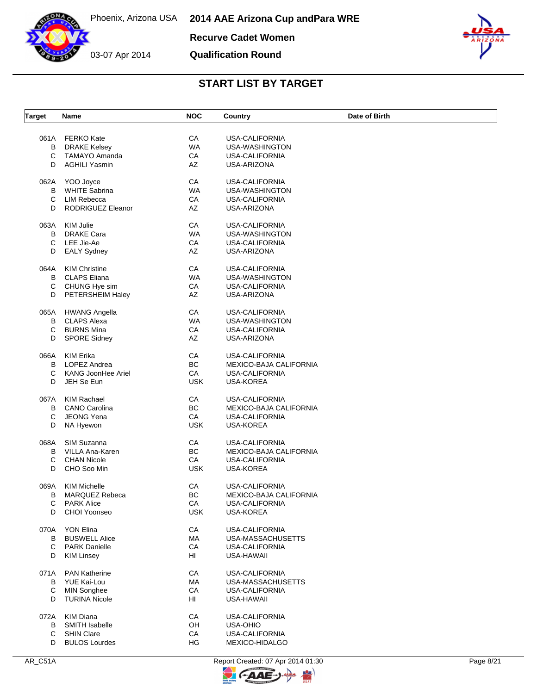**Recurve Cadet Women**

**Qualification Round**



### **START LIST BY TARGET**

| <b>Target</b> | Name                      | <b>NOC</b> | Country                | Date of Birth |
|---------------|---------------------------|------------|------------------------|---------------|
| 061A          | <b>FERKO Kate</b>         | CA         | <b>USA-CALIFORNIA</b>  |               |
| В             | <b>DRAKE Kelsey</b>       | <b>WA</b>  | USA-WASHINGTON         |               |
| С             | TAMAYO Amanda             | CA         | USA-CALIFORNIA         |               |
| D             | <b>AGHILI Yasmin</b>      | AZ         | USA-ARIZONA            |               |
|               |                           |            |                        |               |
| 062A          | YOO Joyce                 | CA         | <b>USA-CALIFORNIA</b>  |               |
| В             | <b>WHITE Sabrina</b>      | <b>WA</b>  | USA-WASHINGTON         |               |
| C             | LIM Rebecca               | CA         | USA-CALIFORNIA         |               |
| D             | RODRIGUEZ Eleanor         | AZ         | USA-ARIZONA            |               |
| 063A          | KIM Julie                 | CA         | <b>USA-CALIFORNIA</b>  |               |
| В             | DRAKE Cara                | <b>WA</b>  | USA-WASHINGTON         |               |
| С             | LEE Jie-Ae                | CA         | USA-CALIFORNIA         |               |
| D             | <b>EALY Sydney</b>        | AZ         | USA-ARIZONA            |               |
|               |                           |            |                        |               |
| 064A          | <b>KIM Christine</b>      | CA         | USA-CALIFORNIA         |               |
| В             | <b>CLAPS Eliana</b>       | <b>WA</b>  | USA-WASHINGTON         |               |
| С             | CHUNG Hye sim             | CA         | <b>USA-CALIFORNIA</b>  |               |
| D             | PETERSHEIM Haley          | AZ         | USA-ARIZONA            |               |
| 065A          | <b>HWANG Angella</b>      | CA         | <b>USA-CALIFORNIA</b>  |               |
| В             | <b>CLAPS Alexa</b>        | <b>WA</b>  | USA-WASHINGTON         |               |
| С             | <b>BURNS Mina</b>         | CA         | USA-CALIFORNIA         |               |
| D             | <b>SPORE Sidney</b>       | AZ         | USA-ARIZONA            |               |
| 066A          | <b>KIM Erika</b>          | CA         | USA-CALIFORNIA         |               |
| В             | LOPEZ Andrea              | BC         | MEXICO-BAJA CALIFORNIA |               |
| С             |                           |            |                        |               |
|               | <b>KANG JoonHee Ariel</b> | CA         | USA-CALIFORNIA         |               |
| D             | JEH Se Eun                | <b>USK</b> | USA-KOREA              |               |
| 067A          | <b>KIM Rachael</b>        | CA         | USA-CALIFORNIA         |               |
| В             | <b>CANO Carolina</b>      | <b>BC</b>  | MEXICO-BAJA CALIFORNIA |               |
| С             | <b>JEONG Yena</b>         | CA         | <b>USA-CALIFORNIA</b>  |               |
| D             | NA Hyewon                 | <b>USK</b> | USA-KOREA              |               |
| 068A          | SIM Suzanna               | CA         | USA-CALIFORNIA         |               |
| В             | VILLA Ana-Karen           | BC         | MEXICO-BAJA CALIFORNIA |               |
| С             | <b>CHAN Nicole</b>        | CA         | <b>USA-CALIFORNIA</b>  |               |
| D             | CHO Soo Min               | <b>USK</b> |                        |               |
|               |                           |            | <b>USA-KOREA</b>       |               |
| 069A          | <b>KIM Michelle</b>       | СA         | <b>USA-CALIFORNIA</b>  |               |
| В             | <b>MARQUEZ Rebeca</b>     | BC         | MEXICO-BAJA CALIFORNIA |               |
| С             | <b>PARK Alice</b>         | CA         | USA-CALIFORNIA         |               |
| D             | <b>CHOI Yoonseo</b>       | <b>USK</b> | USA-KOREA              |               |
| 070A          | <b>YON Elina</b>          | CA         | USA-CALIFORNIA         |               |
| В             | <b>BUSWELL Alice</b>      | МA         | USA-MASSACHUSETTS      |               |
| С             | <b>PARK Danielle</b>      | CA         | USA-CALIFORNIA         |               |
| D             | <b>KIM Linsey</b>         | HL         | USA-HAWAII             |               |
|               |                           |            |                        |               |
| 071A          | <b>PAN Katherine</b>      | CA         | <b>USA-CALIFORNIA</b>  |               |
| В             | YUE Kai-Lou               | МA         | USA-MASSACHUSETTS      |               |
| С             | <b>MIN Songhee</b>        | CA         | <b>USA-CALIFORNIA</b>  |               |
| D             | <b>TURINA Nicole</b>      | HI         | USA-HAWAII             |               |
| 072A          | <b>KIM Diana</b>          | CA         | USA-CALIFORNIA         |               |
| В             | SMITH Isabelle            | OH         | <b>USA-OHIO</b>        |               |
| С             | <b>SHIN Clare</b>         | CA         | USA-CALIFORNIA         |               |
| D             | <b>BULOS Lourdes</b>      | HG         | MEXICO-HIDALGO         |               |



 $\overline{a}$ 

 $FAAE$ 

 $\ominus$ 

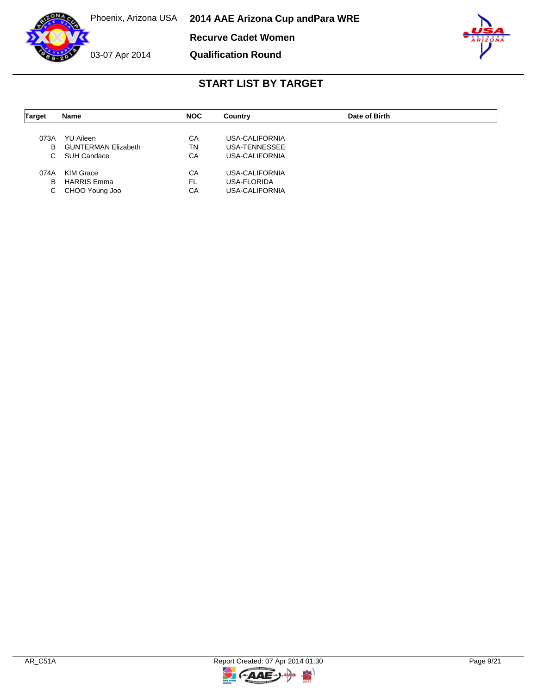**Recurve Cadet Women**



03-07 Apr 2014

### **Qualification Round**



| <b>Target</b> | Name                       | <b>NOC</b> | Country        | Date of Birth |  |
|---------------|----------------------------|------------|----------------|---------------|--|
| 073A          | <b>YU Aileen</b>           | СA         | USA-CALIFORNIA |               |  |
| B             | <b>GUNTERMAN Elizabeth</b> | ΤN         | USA-TENNESSEE  |               |  |
| C.            | SUH Candace                | CA         | USA-CALIFORNIA |               |  |
| 074A          | KIM Grace                  | CA         | USA-CALIFORNIA |               |  |
| в             | <b>HARRIS Emma</b>         | <b>FL</b>  | USA-FLORIDA    |               |  |
| С             | CHOO Young Joo             | СA         | USA-CALIFORNIA |               |  |

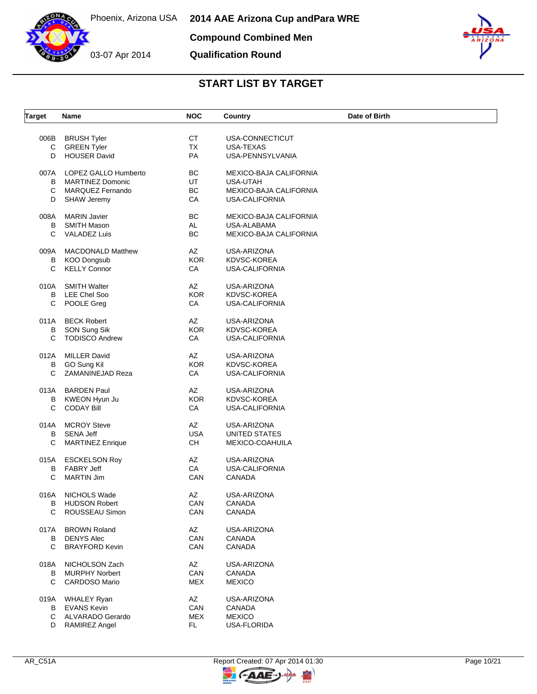

**Qualification Round**



| <b>Target</b> | Name                     | <b>NOC</b> | Country                | Date of Birth |
|---------------|--------------------------|------------|------------------------|---------------|
| 006B          | <b>BRUSH Tyler</b>       | СT         | USA-CONNECTICUT        |               |
| C             | <b>GREEN Tyler</b>       | <b>TX</b>  | USA-TEXAS              |               |
| D             | <b>HOUSER David</b>      | PA         | USA-PENNSYLVANIA       |               |
|               |                          |            |                        |               |
| 007A          | LOPEZ GALLO Humberto     | BC         | MEXICO-BAJA CALIFORNIA |               |
| В             | <b>MARTINEZ Domonic</b>  | <b>UT</b>  | USA-UTAH               |               |
| C             | <b>MARQUEZ Fernando</b>  | BC         | MEXICO-BAJA CALIFORNIA |               |
| D             | <b>SHAW Jeremy</b>       | CA         | <b>USA-CALIFORNIA</b>  |               |
| 008A          | <b>MARIN Javier</b>      | BC         | MEXICO-BAJA CALIFORNIA |               |
| B             | <b>SMITH Mason</b>       | AL         | USA-ALABAMA            |               |
| C             | <b>VALADEZ Luis</b>      | BC         | MEXICO-BAJA CALIFORNIA |               |
| 009A          | <b>MACDONALD Matthew</b> | AZ         | USA-ARIZONA            |               |
| В             | <b>KOO Dongsub</b>       | <b>KOR</b> | KDVSC-KOREA            |               |
|               |                          |            |                        |               |
| C             | <b>KELLY Connor</b>      | CA         | <b>USA-CALIFORNIA</b>  |               |
| 010A          | <b>SMITH Walter</b>      | AZ         | USA-ARIZONA            |               |
| B             | <b>LEE Chel Soo</b>      | <b>KOR</b> | KDVSC-KOREA            |               |
| C             | POOLE Greg               | CA         | <b>USA-CALIFORNIA</b>  |               |
| 011A          | <b>BECK Robert</b>       | AZ         | USA-ARIZONA            |               |
| В             | SON Sung Sik             | <b>KOR</b> | KDVSC-KOREA            |               |
| C             | <b>TODISCO Andrew</b>    | CA         | USA-CALIFORNIA         |               |
| 012A          | <b>MILLER David</b>      | AZ         | USA-ARIZONA            |               |
| B             | GO Sung Kil              | <b>KOR</b> | KDVSC-KOREA            |               |
| C             | ZAMANINEJAD Reza         | CA         | USA-CALIFORNIA         |               |
|               |                          |            |                        |               |
| 013A          | <b>BARDEN Paul</b>       | AZ         | USA-ARIZONA            |               |
| В             | KWEON Hyun Ju            | <b>KOR</b> | KDVSC-KOREA            |               |
| C             | <b>CODAY Bill</b>        | CA         | <b>USA-CALIFORNIA</b>  |               |
| 014A          | <b>MCROY Steve</b>       | AZ         | USA-ARIZONA            |               |
| В             | <b>SENA Jeff</b>         | <b>USA</b> | UNITED STATES          |               |
| C             | <b>MARTINEZ Enrique</b>  | CH         | MEXICO-COAHUILA        |               |
| 015A          | <b>ESCKELSON Roy</b>     | AZ         | USA-ARIZONA            |               |
| В             | <b>FABRY Jeff</b>        | CA         | <b>USA-CALIFORNIA</b>  |               |
| C             | <b>MARTIN Jim</b>        | CAN        | CANADA                 |               |
|               |                          |            |                        |               |
| 016A          | NICHOLS Wade             | AZ         | USA-ARIZONA            |               |
| В             | <b>HUDSON Robert</b>     | CAN        | CANADA                 |               |
| C             | ROUSSEAU Simon           | CAN        | CANADA                 |               |
| 017A          | <b>BROWN Roland</b>      | AZ         | USA-ARIZONA            |               |
| B             | <b>DENYS Alec</b>        | CAN        | CANADA                 |               |
| C             | <b>BRAYFORD Kevin</b>    | CAN        | <b>CANADA</b>          |               |
| 018A          | NICHOLSON Zach           | AZ         | USA-ARIZONA            |               |
| В             | <b>MURPHY Norbert</b>    | CAN        | CANADA                 |               |
| C             | CARDOSO Mario            | <b>MEX</b> | <b>MEXICO</b>          |               |
|               |                          |            |                        |               |
| 019A          | <b>WHALEY Ryan</b>       | AZ         | USA-ARIZONA            |               |
| В             | <b>EVANS Kevin</b>       | CAN        | CANADA                 |               |
| C             | ALVARADO Gerardo         | <b>MEX</b> | <b>MEXICO</b>          |               |
| D             | RAMIREZ Angel            | FL.        | USA-FLORIDA            |               |

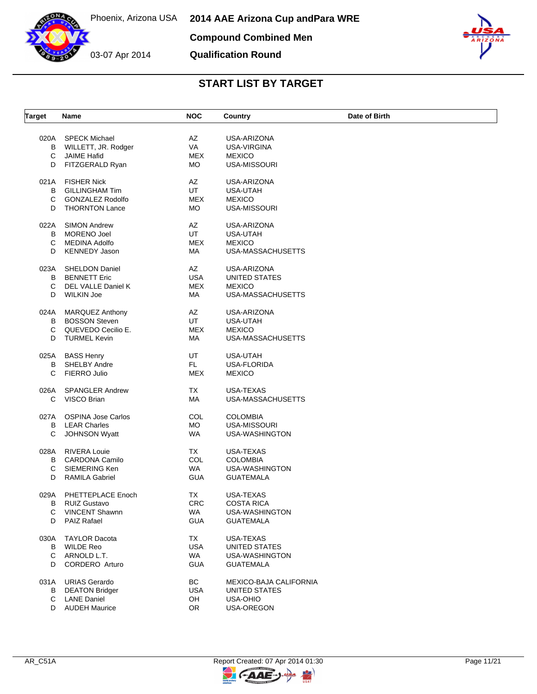



# **Qualification Round**



| <b>Target</b> | Name                                             | <b>NOC</b>       | Country                        | Date of Birth |
|---------------|--------------------------------------------------|------------------|--------------------------------|---------------|
| 020A          | <b>SPECK Michael</b>                             | AZ               | USA-ARIZONA                    |               |
| В             | WILLETT, JR. Rodger                              | VA               | USA-VIRGINA                    |               |
| С             | <b>JAIME Hafid</b>                               | <b>MEX</b>       | <b>MEXICO</b>                  |               |
| D             | FITZGERALD Ryan                                  | МO               | <b>USA-MISSOURI</b>            |               |
|               |                                                  |                  |                                |               |
| 021A          | <b>FISHER Nick</b>                               | AZ               | USA-ARIZONA                    |               |
| В             | <b>GILLINGHAM Tim</b>                            | UT               | USA-UTAH                       |               |
| С             | <b>GONZALEZ Rodolfo</b>                          | MEX              | <b>MEXICO</b>                  |               |
| D             | <b>THORNTON Lance</b>                            | МO               | USA-MISSOURI                   |               |
| 022A          | <b>SIMON Andrew</b>                              | AZ               | USA-ARIZONA                    |               |
| В             | <b>MORENO Joel</b>                               | UT               | USA-UTAH                       |               |
| C             | <b>MEDINA Adolfo</b>                             | <b>MEX</b>       | <b>MEXICO</b>                  |               |
| D             | <b>KENNEDY Jason</b>                             | МA               | USA-MASSACHUSETTS              |               |
|               |                                                  |                  |                                |               |
| 023A          | <b>SHELDON Daniel</b>                            | AZ               | USA-ARIZONA                    |               |
| в             | <b>BENNETT Eric</b>                              | <b>USA</b>       | UNITED STATES                  |               |
| C             | DEL VALLE Daniel K                               | <b>MEX</b>       | <b>MEXICO</b>                  |               |
| D             | <b>WILKIN Joe</b>                                | МA               | USA-MASSACHUSETTS              |               |
| 024A          | <b>MARQUEZ Anthony</b>                           | AZ               | USA-ARIZONA                    |               |
| В             | <b>BOSSON Steven</b>                             | UT               | USA-UTAH                       |               |
| C             | QUEVEDO Cecilio E.                               | <b>MEX</b>       | <b>MEXICO</b>                  |               |
| D             | <b>TURMEL Kevin</b>                              | МA               | USA-MASSACHUSETTS              |               |
|               |                                                  |                  |                                |               |
|               | 025A BASS Henry                                  | UT               | <b>USA-UTAH</b>                |               |
| В             | SHELBY Andre                                     | FL.              | USA-FLORIDA                    |               |
| С             | FIERRO Julio                                     | <b>MEX</b>       | <b>MEXICO</b>                  |               |
| 026A          | <b>SPANGLER Andrew</b>                           | TX               | USA-TEXAS                      |               |
| С             | VISCO Brian                                      | MA               | USA-MASSACHUSETTS              |               |
|               |                                                  |                  |                                |               |
| 027A<br>в     | <b>OSPINA Jose Carlos</b><br><b>LEAR Charles</b> | COL<br><b>MO</b> | <b>COLOMBIA</b>                |               |
| C             | <b>JOHNSON Wyatt</b>                             | WA               | USA-MISSOURI<br>USA-WASHINGTON |               |
|               |                                                  |                  |                                |               |
| 028A          | <b>RIVERA Louie</b>                              | TX               | USA-TEXAS                      |               |
| в             | <b>CARDONA Camilo</b>                            | COL              | <b>COLOMBIA</b>                |               |
| С             | SIEMERING Ken                                    | <b>WA</b>        | USA-WASHINGTON                 |               |
| D             | <b>RAMILA Gabriel</b>                            | <b>GUA</b>       | <b>GUATEMALA</b>               |               |
| 029A          | PHETTEPLACE Enoch                                | ТX               | USA-TEXAS                      |               |
| В             | <b>RUIZ Gustavo</b>                              | CRC.             | COSTA RICA                     |               |
| С             | <b>VINCENT Shawnn</b>                            | WA               | USA-WASHINGTON                 |               |
| D             | <b>PAIZ Rafael</b>                               | <b>GUA</b>       | <b>GUATEMALA</b>               |               |
|               |                                                  |                  |                                |               |
| 030A          | <b>TAYLOR Dacota</b>                             | TX               | USA-TEXAS                      |               |
| В             | <b>WILDE Reo</b>                                 | USA              | UNITED STATES                  |               |
| C             | ARNOLD L.T.                                      | WA               | USA-WASHINGTON                 |               |
| D             | CORDERO Arturo                                   | <b>GUA</b>       | <b>GUATEMALA</b>               |               |
| 031A          | <b>URIAS Gerardo</b>                             | BC               | MEXICO-BAJA CALIFORNIA         |               |
| В             | <b>DEATON Bridger</b>                            | <b>USA</b>       | UNITED STATES                  |               |
| С             | <b>LANE Daniel</b>                               | OH               | USA-OHIO                       |               |
| D             | <b>AUDEH Maurice</b>                             | OR               | USA-OREGON                     |               |
|               |                                                  |                  |                                |               |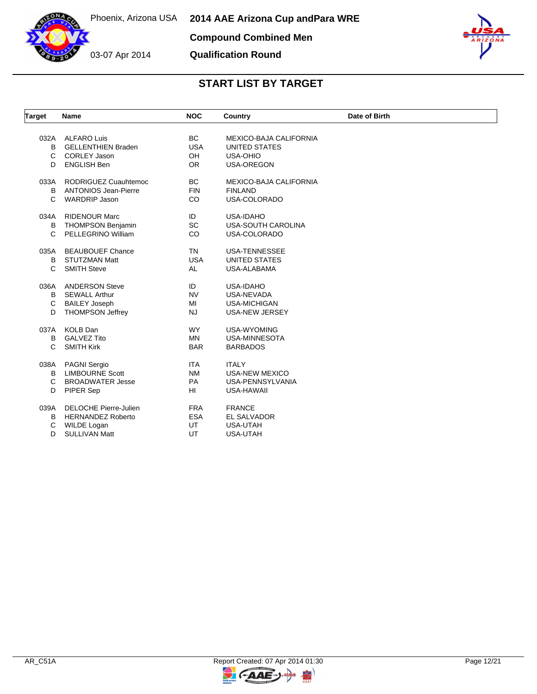

03-07 Apr 2014 **Qualification Round**



| Target | <b>Name</b>                  | <b>NOC</b> | Country                | Date of Birth |
|--------|------------------------------|------------|------------------------|---------------|
|        |                              |            |                        |               |
| 032A   | <b>ALFARO Luis</b>           | <b>BC</b>  | MEXICO-BAJA CALIFORNIA |               |
| B      | <b>GELLENTHIEN Braden</b>    | <b>USA</b> | <b>UNITED STATES</b>   |               |
| C      | <b>CORLEY Jason</b>          | OH         | USA-OHIO               |               |
| D      | <b>ENGLISH Ben</b>           | <b>OR</b>  | <b>USA-OREGON</b>      |               |
| 033A   | RODRIGUEZ Cuauhtemoc         | <b>BC</b>  | MEXICO-BAJA CALIFORNIA |               |
| B      | <b>ANTONIOS Jean-Pierre</b>  | <b>FIN</b> | <b>FINLAND</b>         |               |
| C      | <b>WARDRIP Jason</b>         | <b>CO</b>  | USA-COLORADO           |               |
| 034A   | <b>RIDENOUR Marc</b>         | ID         | USA-IDAHO              |               |
| B      | <b>THOMPSON Benjamin</b>     | <b>SC</b>  | USA-SOUTH CAROLINA     |               |
| C      | PELLEGRINO William           | CO         | USA-COLORADO           |               |
| 035A   | <b>BEAUBOUEF Chance</b>      | <b>TN</b>  | <b>USA-TENNESSEE</b>   |               |
| B      | <b>STUTZMAN Matt</b>         | <b>USA</b> | UNITED STATES          |               |
| C      | <b>SMITH Steve</b>           | AL         | USA-ALABAMA            |               |
| 036A   | <b>ANDERSON Steve</b>        | ID         | <b>USA-IDAHO</b>       |               |
| B      | <b>SEWALL Arthur</b>         | <b>NV</b>  | USA-NEVADA             |               |
| C      | <b>BAILEY Joseph</b>         | MI         | <b>USA-MICHIGAN</b>    |               |
| D      | <b>THOMPSON Jeffrey</b>      | <b>NJ</b>  | USA-NEW JERSEY         |               |
| 037A   | <b>KOLB Dan</b>              | <b>WY</b>  | <b>USA-WYOMING</b>     |               |
| B      | <b>GALVEZ Tito</b>           | <b>MN</b>  | <b>USA-MINNESOTA</b>   |               |
| C      | <b>SMITH Kirk</b>            | <b>BAR</b> | <b>BARBADOS</b>        |               |
|        |                              |            |                        |               |
| 038A   | <b>PAGNI Sergio</b>          | <b>ITA</b> | <b>ITALY</b>           |               |
| B      | <b>LIMBOURNE Scott</b>       | <b>NM</b>  | <b>USA-NEW MEXICO</b>  |               |
| C      | <b>BROADWATER Jesse</b>      | PA         | USA-PENNSYLVANIA       |               |
| D      | PIPER Sep                    | HI         | <b>USA-HAWAII</b>      |               |
| 039A   | <b>DELOCHE Pierre-Julien</b> | <b>FRA</b> | <b>FRANCE</b>          |               |
| в      | <b>HERNANDEZ Roberto</b>     | <b>ESA</b> | EL SALVADOR            |               |
| C      | WILDE Logan                  | UT         | <b>USA-UTAH</b>        |               |
| D      | <b>SULLIVAN Matt</b>         | UT         | <b>USA-UTAH</b>        |               |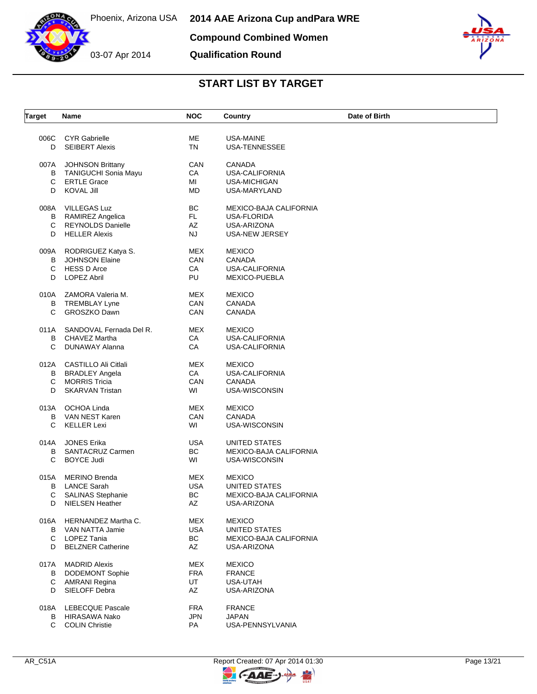

Phoenix, Arizona USA **2014 AAE Arizona Cup and Para WRE Compound Combined Women**

**Qualification Round**



| <b>Target</b> | Name                      | <b>NOC</b>             | Country                       | Date of Birth |
|---------------|---------------------------|------------------------|-------------------------------|---------------|
| 006C          | <b>CYR Gabrielle</b>      | МE                     | USA-MAINE                     |               |
| D             | <b>SEIBERT Alexis</b>     | <b>TN</b>              | USA-TENNESSEE                 |               |
| 007A          | <b>JOHNSON Brittany</b>   | CAN                    | <b>CANADA</b>                 |               |
| В             | TANIGUCHI Sonia Mayu      | CA                     | <b>USA-CALIFORNIA</b>         |               |
| C             | <b>ERTLE Grace</b>        | MI                     | USA-MICHIGAN                  |               |
| D             | <b>KOVAL Jill</b>         | MD                     | USA-MARYLAND                  |               |
| 008A          | VILLEGAS Luz              | BС                     | MEXICO-BAJA CALIFORNIA        |               |
| В             | RAMIREZ Angelica          | FL.                    | USA-FLORIDA                   |               |
| C             | <b>REYNOLDS Danielle</b>  | AZ                     | USA-ARIZONA                   |               |
| D             | <b>HELLER Alexis</b>      | <b>NJ</b>              | USA-NEW JERSEY                |               |
| 009A          | RODRIGUEZ Katya S.        | MEX                    | <b>MEXICO</b>                 |               |
| B             | <b>JOHNSON Elaine</b>     | CAN                    | <b>CANADA</b>                 |               |
| С             | <b>HESS D Arce</b>        | CA                     | <b>USA-CALIFORNIA</b>         |               |
| D             | <b>LOPEZ Abril</b>        | PU                     | MEXICO-PUEBLA                 |               |
| 010A          | ZAMORA Valeria M.         | MEX                    | <b>MEXICO</b>                 |               |
| В             | TREMBLAY Lyne             | CAN                    | <b>CANADA</b>                 |               |
| С             | <b>GROSZKO Dawn</b>       | CAN                    | <b>CANADA</b>                 |               |
| 011A          | SANDOVAL Fernada Del R.   | <b>MEX</b>             | <b>MEXICO</b>                 |               |
| B             | CHAVEZ Martha             | CA                     | <b>USA-CALIFORNIA</b>         |               |
| С             | DUNAWAY Alanna            | CA                     | USA-CALIFORNIA                |               |
|               | 012A CASTILLO Ali Citlali | MEX                    | <b>MEXICO</b>                 |               |
| В             | BRADLEY Angela            | CA                     | <b>USA-CALIFORNIA</b>         |               |
| C             | <b>MORRIS Tricia</b>      | <b>CAN</b>             | <b>CANADA</b>                 |               |
| D             | <b>SKARVAN Tristan</b>    | WI                     | USA-WISCONSIN                 |               |
|               | 013A OCHOA Linda          | MEX                    | <b>MEXICO</b>                 |               |
| В             | VAN NEST Karen            | CAN                    | <b>CANADA</b>                 |               |
| С             | KELLER Lexi               | WI                     | USA-WISCONSIN                 |               |
| 014A          | <b>JONES Erika</b>        | <b>USA</b>             | UNITED STATES                 |               |
| В             | SANTACRUZ Carmen          | BC                     | MEXICO-BAJA CALIFORNIA        |               |
| С             | <b>BOYCE Judi</b>         | WI                     | USA-WISCONSIN                 |               |
| 015A          | MERINO Brenda             | MEX                    | <b>MEXICO</b>                 |               |
| В             | <b>LANCE Sarah</b>        | <b>USA</b>             | UNITED STATES                 |               |
| С             | <b>SALINAS Stephanie</b>  | BС                     | <b>MEXICO-BAJA CALIFORNIA</b> |               |
| D             | NIELSEN Heather           | $\mathsf{A}\mathsf{Z}$ | USA-ARIZONA                   |               |
|               | 016A HERNANDEZ Martha C.  | MEX                    | <b>MEXICO</b>                 |               |
|               | B VAN NATTA Jamie         | <b>USA</b>             | <b>UNITED STATES</b>          |               |
| С             | LOPEZ Tania               | BC                     | MEXICO-BAJA CALIFORNIA        |               |
| D             | <b>BELZNER Catherine</b>  | AZ                     | USA-ARIZONA                   |               |
| 017A          | <b>MADRID Alexis</b>      | MEX                    | <b>MEXICO</b>                 |               |
| В             | <b>DODEMONT Sophie</b>    | <b>FRA</b>             | <b>FRANCE</b>                 |               |
| С             | AMRANI Regina             | UT                     | USA-UTAH                      |               |
| D             | SIELOFF Debra             | AZ                     | USA-ARIZONA                   |               |
|               | 018A LEBECQUE Pascale     | <b>FRA</b>             | <b>FRANCE</b>                 |               |
|               | <b>B</b> HIRASAWA Nako    | <b>JPN</b>             | <b>JAPAN</b>                  |               |
| C             | <b>COLIN Christie</b>     | PA                     | USA-PENNSYLVANIA              |               |
|               |                           |                        |                               |               |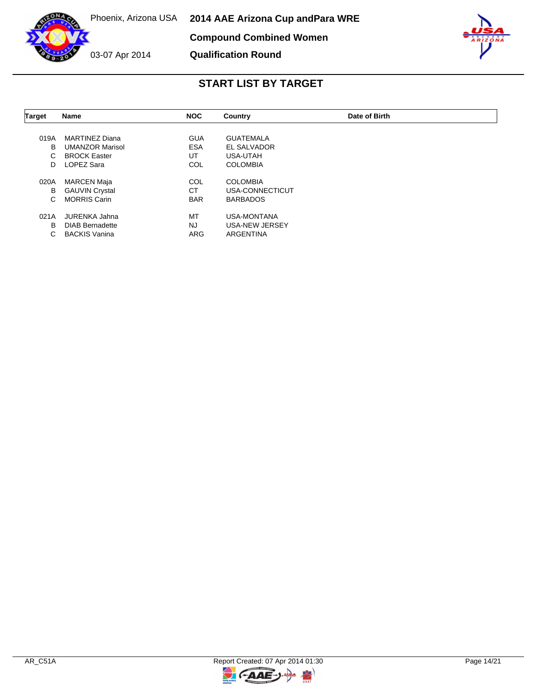



**Qualification Round**



| Name                   | <b>NOC</b>                                  | Country               | Date of Birth |  |
|------------------------|---------------------------------------------|-----------------------|---------------|--|
|                        |                                             |                       |               |  |
| <b>MARTINEZ Diana</b>  | <b>GUA</b>                                  | GUATEMALA             |               |  |
| <b>UMANZOR Marisol</b> | <b>ESA</b>                                  | EL SALVADOR           |               |  |
| <b>BROCK Easter</b>    | UT                                          | USA-UTAH              |               |  |
| LOPEZ Sara             | COL                                         | <b>COLOMBIA</b>       |               |  |
|                        | COL                                         | <b>COLOMBIA</b>       |               |  |
|                        | <b>CT</b>                                   | USA-CONNECTICUT       |               |  |
| <b>MORRIS Carin</b>    | <b>BAR</b>                                  | <b>BARBADOS</b>       |               |  |
| JURENKA Jahna          | MT                                          | USA-MONTANA           |               |  |
| <b>DIAB Bernadette</b> | <b>NJ</b>                                   | <b>USA-NEW JERSEY</b> |               |  |
| <b>BACKIS Vanina</b>   | ARG                                         | <b>ARGENTINA</b>      |               |  |
|                        | <b>MARCEN Maja</b><br><b>GAUVIN Crystal</b> |                       |               |  |

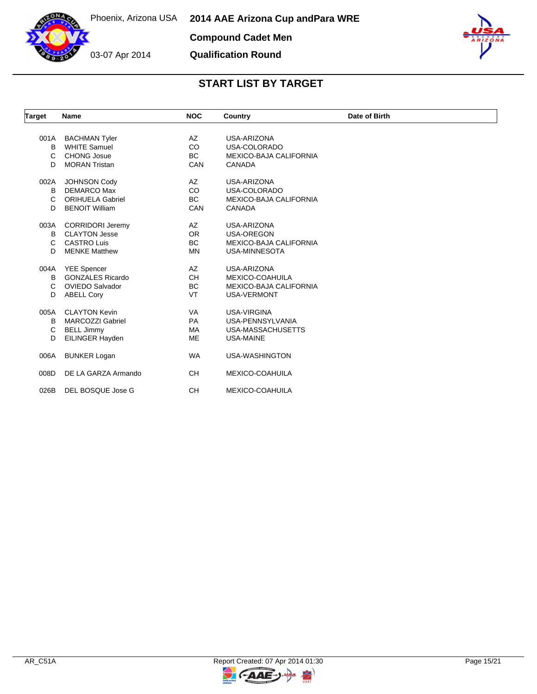

**Compound Cadet Men**

**Qualification Round**



| <b>Target</b> | <b>Name</b>             | <b>NOC</b> | Country                       | Date of Birth |
|---------------|-------------------------|------------|-------------------------------|---------------|
|               |                         |            |                               |               |
| 001A          | <b>BACHMAN Tyler</b>    | AZ         | USA-ARIZONA                   |               |
| B             | <b>WHITE Samuel</b>     | <b>CO</b>  | USA-COLORADO                  |               |
| C             | <b>CHONG Josue</b>      | <b>BC</b>  | <b>MEXICO-BAJA CALIFORNIA</b> |               |
| D             | <b>MORAN Tristan</b>    | CAN        | <b>CANADA</b>                 |               |
| 002A          | <b>JOHNSON Cody</b>     | AZ         | USA-ARIZONA                   |               |
| B             | <b>DEMARCO Max</b>      | <b>CO</b>  | USA-COLORADO                  |               |
| C             | <b>ORIHUELA Gabriel</b> | <b>BC</b>  | <b>MEXICO-BAJA CALIFORNIA</b> |               |
| D             | <b>BENOIT William</b>   | CAN        | <b>CANADA</b>                 |               |
| 003A          | <b>CORRIDORI Jeremy</b> | AZ         | USA-ARIZONA                   |               |
| B             | <b>CLAYTON Jesse</b>    | <b>OR</b>  | <b>USA-OREGON</b>             |               |
| C             | <b>CASTRO Luis</b>      | <b>BC</b>  | <b>MEXICO-BAJA CALIFORNIA</b> |               |
| D             | <b>MENKE Matthew</b>    | <b>MN</b>  | <b>USA-MINNESOTA</b>          |               |
| 004A          | <b>YEE Spencer</b>      | AZ         | USA-ARIZONA                   |               |
| В             | <b>GONZALES Ricardo</b> | <b>CH</b>  | MEXICO-COAHUILA               |               |
| С             | <b>OVIEDO Salvador</b>  | <b>BC</b>  | <b>MEXICO-BAJA CALIFORNIA</b> |               |
| D             | <b>ABELL Cory</b>       | VT         | <b>USA-VERMONT</b>            |               |
| 005A          | <b>CLAYTON Kevin</b>    | <b>VA</b>  | <b>USA-VIRGINA</b>            |               |
| В             | <b>MARCOZZI Gabriel</b> | <b>PA</b>  | USA-PENNSYLVANIA              |               |
| C             | <b>BELL Jimmy</b>       | MA         | USA-MASSACHUSETTS             |               |
| D             | EILINGER Hayden         | <b>ME</b>  | <b>USA-MAINE</b>              |               |
|               |                         |            |                               |               |
| 006A          | <b>BUNKER Logan</b>     | <b>WA</b>  | <b>USA-WASHINGTON</b>         |               |
| 008D          | DE LA GARZA Armando     | <b>CH</b>  | MEXICO-COAHUILA               |               |
| 026B          | DEL BOSQUE Jose G       | <b>CH</b>  | <b>MEXICO-COAHUILA</b>        |               |

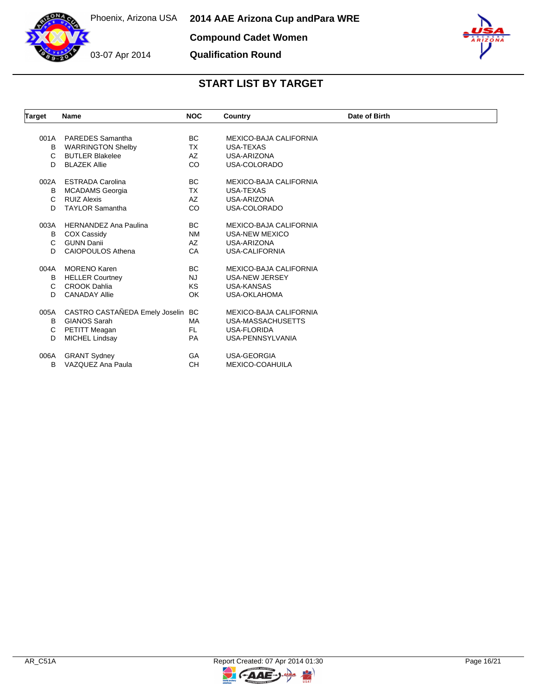

**Compound Cadet Women**

**Qualification Round**



| <b>Target</b> | Name                           | <b>NOC</b> | Country                       | Date of Birth |
|---------------|--------------------------------|------------|-------------------------------|---------------|
|               |                                |            |                               |               |
| 001A          | <b>PAREDES</b> Samantha        | BC.        | MEXICO-BAJA CALIFORNIA        |               |
| B             | <b>WARRINGTON Shelby</b>       | TX         | <b>USA-TEXAS</b>              |               |
| $\mathbf{C}$  | <b>BUTLER Blakelee</b>         | AZ         | USA-ARIZONA                   |               |
| D.            | <b>BLAZEK Allie</b>            | CO         | USA-COLORADO                  |               |
| 002A          | <b>ESTRADA Carolina</b>        | BC.        | <b>MEXICO-BAJA CALIFORNIA</b> |               |
| B             | <b>MCADAMS</b> Georgia         | TX         | <b>USA-TEXAS</b>              |               |
| C.            | <b>RUIZ Alexis</b>             | AZ         | USA-ARIZONA                   |               |
| D.            | <b>TAYLOR Samantha</b>         | CO         | USA-COLORADO                  |               |
| 003A          | <b>HERNANDEZ Ana Paulina</b>   | BC.        | MEXICO-BAJA CALIFORNIA        |               |
| B             | <b>COX Cassidy</b>             | <b>NM</b>  | <b>USA-NEW MEXICO</b>         |               |
| C             | <b>GUNN Danii</b>              | AZ         | USA-ARIZONA                   |               |
| D             | <b>CAIOPOULOS Athena</b>       | CA         | USA-CALIFORNIA                |               |
| 004A          | <b>MORENO Karen</b>            | <b>BC</b>  | MEXICO-BAJA CALIFORNIA        |               |
| В             | <b>HELLER Courtney</b>         | <b>NJ</b>  | <b>USA-NEW JERSEY</b>         |               |
| C             | <b>CROOK Dahlia</b>            | ΚS         | <b>USA-KANSAS</b>             |               |
| D             | <b>CANADAY Allie</b>           | OK         | <b>USA-OKLAHOMA</b>           |               |
| 005A          | CASTRO CASTAÑEDA Emely Joselin | <b>BC</b>  | MEXICO-BAJA CALIFORNIA        |               |
| B             | <b>GIANOS Sarah</b>            | <b>MA</b>  | USA-MASSACHUSETTS             |               |
| C             | PETITT Meagan                  | FL.        | <b>USA-FLORIDA</b>            |               |
| D             | <b>MICHEL Lindsay</b>          | <b>PA</b>  | USA-PENNSYLVANIA              |               |
| 006A          | <b>GRANT Sydney</b>            | GA         | <b>USA-GEORGIA</b>            |               |
| B             | VAZQUEZ Ana Paula              | <b>CH</b>  | MEXICO-COAHUILA               |               |

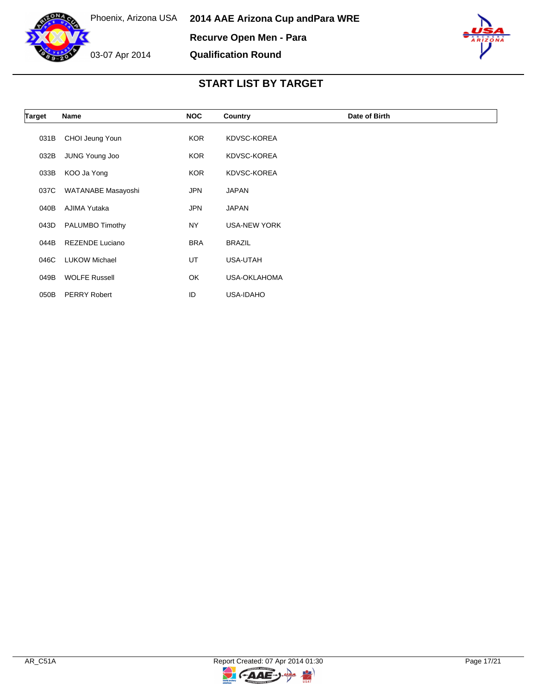



| Target | Name                   | <b>NOC</b> | Country             | Date of Birth |
|--------|------------------------|------------|---------------------|---------------|
| 031B   | CHOI Jeung Youn        | <b>KOR</b> | KDVSC-KOREA         |               |
| 032B   | JUNG Young Joo         | <b>KOR</b> | KDVSC-KOREA         |               |
| 033B   | KOO Ja Yong            | <b>KOR</b> | KDVSC-KOREA         |               |
| 037C   | WATANABE Masayoshi     | JPN        | <b>JAPAN</b>        |               |
| 040B   | AJIMA Yutaka           | <b>JPN</b> | <b>JAPAN</b>        |               |
| 043D   | PALUMBO Timothy        | <b>NY</b>  | <b>USA-NEW YORK</b> |               |
| 044B   | <b>REZENDE Luciano</b> | <b>BRA</b> | <b>BRAZIL</b>       |               |
| 046C   | <b>LUKOW Michael</b>   | UT         | <b>USA-UTAH</b>     |               |
| 049B   | <b>WOLFE Russell</b>   | OK         | <b>USA-OKLAHOMA</b> |               |
| 050B   | <b>PERRY Robert</b>    | ID         | USA-IDAHO           |               |

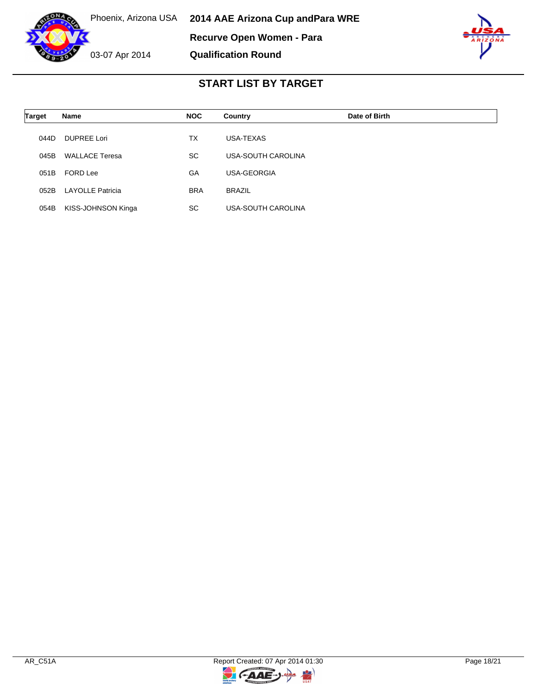



| <b>Target</b> | Name                  | <b>NOC</b> | Country            | Date of Birth |
|---------------|-----------------------|------------|--------------------|---------------|
| 044D          | <b>DUPREE Lori</b>    | <b>TX</b>  | USA-TEXAS          |               |
| 045B          | <b>WALLACE Teresa</b> | <b>SC</b>  | USA-SOUTH CAROLINA |               |
| 051B          | FORD Lee              | GA         | USA-GEORGIA        |               |
| 052B          | LAYOLLE Patricia      | <b>BRA</b> | <b>BRAZIL</b>      |               |
| 054B          | KISS-JOHNSON Kinga    | <b>SC</b>  | USA-SOUTH CAROLINA |               |

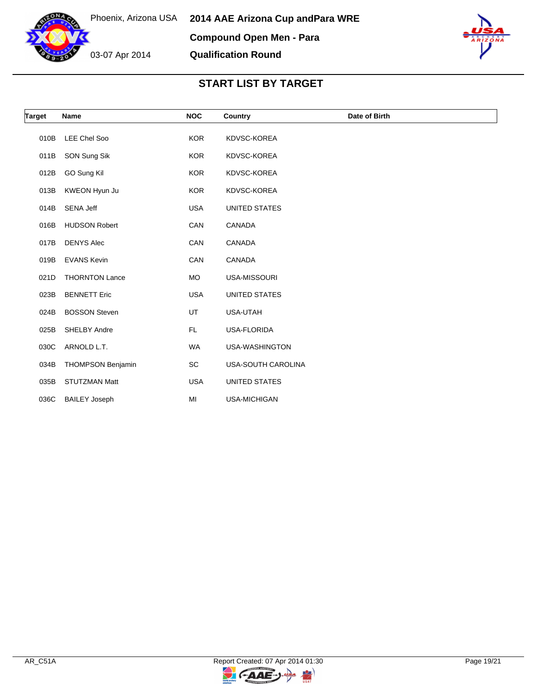



| <b>Target</b> | Name                     | <b>NOC</b> | Country            | Date of Birth |
|---------------|--------------------------|------------|--------------------|---------------|
| 010B          | <b>LEE Chel Soo</b>      | <b>KOR</b> | KDVSC-KOREA        |               |
| 011B          | SON Sung Sik             | KOR        | KDVSC-KOREA        |               |
| 012B          | GO Sung Kil              | <b>KOR</b> | KDVSC-KOREA        |               |
| 013B          | KWEON Hyun Ju            | <b>KOR</b> | KDVSC-KOREA        |               |
| 014B          | SENA Jeff                | <b>USA</b> | UNITED STATES      |               |
| 016B          | <b>HUDSON Robert</b>     | CAN        | CANADA             |               |
| 017B          | <b>DENYS Alec</b>        | CAN        | CANADA             |               |
| 019B          | <b>EVANS Kevin</b>       | CAN        | CANADA             |               |
| 021D          | <b>THORNTON Lance</b>    | MO         | USA-MISSOURI       |               |
| 023B          | <b>BENNETT Eric</b>      | <b>USA</b> | UNITED STATES      |               |
| 024B          | <b>BOSSON Steven</b>     | UT         | USA-UTAH           |               |
| 025B          | SHELBY Andre             | FL.        | <b>USA-FLORIDA</b> |               |
| 030C          | ARNOLD L.T.              | <b>WA</b>  | USA-WASHINGTON     |               |
| 034B          | <b>THOMPSON Benjamin</b> | SC         | USA-SOUTH CAROLINA |               |
| 035B          | <b>STUTZMAN Matt</b>     | <b>USA</b> | UNITED STATES      |               |
| 036C          | <b>BAILEY Joseph</b>     | MI         | USA-MICHIGAN       |               |

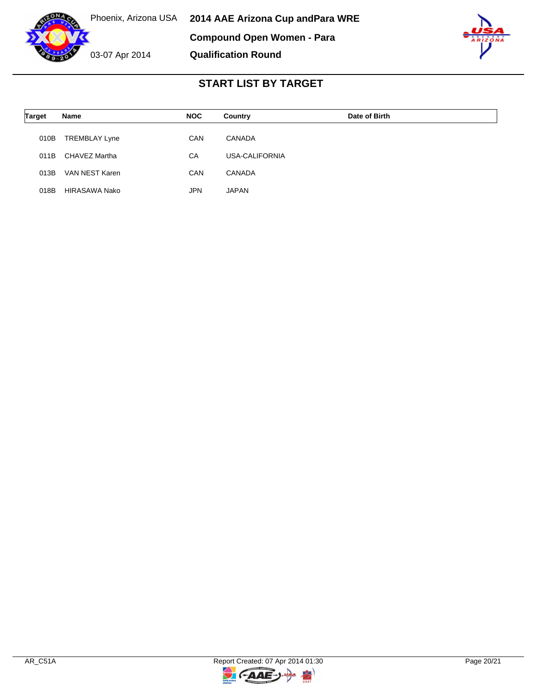



| <b>Target</b> | Name                 | <b>NOC</b> | Country        | Date of Birth |
|---------------|----------------------|------------|----------------|---------------|
| 010B          | <b>TREMBLAY Lyne</b> | CAN        | CANADA         |               |
| 011B          | CHAVEZ Martha        | CA         | USA-CALIFORNIA |               |
| 013B          | VAN NEST Karen       | CAN        | <b>CANADA</b>  |               |
| 018B          | HIRASAWA Nako        | <b>JPN</b> | JAPAN          |               |